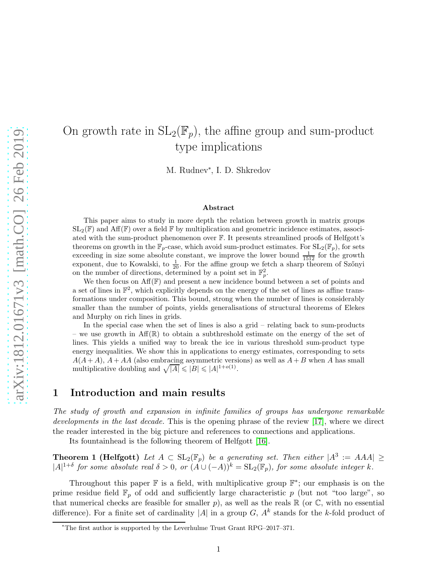# On growth rate in  $SL_2(\mathbb{F}_p)$ , the affine group and sum-product type implications

M. Rudnev<sup>∗</sup> , I. D. Shkredov

#### Abstract

This paper aims to study in more depth the relation between growth in matrix groups  $SL_2(\mathbb{F})$  and Aff $(\mathbb{F})$  over a field  $\mathbb F$  by multiplication and geometric incidence estimates, associated with the sum-product phenomenon over F. It presents streamlined proofs of Helfgott's theorems on growth in the  $\mathbb{F}_p$ -case, which avoid sum-product estimates. For  $SL_2(\mathbb{F}_p)$ , for sets exceeding in size some absolute constant, we improve the lower bound  $\frac{1}{1512}$  for the growth exponent, due to Kowalski, to  $\frac{1}{20}$ . For the affine group we fetch a sharp theorem of Szőnyi on the number of directions, determined by a point set in  $\mathbb{F}_p^2$ .

We then focus on  $\text{Aff}(\mathbb{F})$  and present a new incidence bound between a set of points and a set of lines in  $\mathbb{F}^2$ , which explicitly depends on the energy of the set of lines as affine transformations under composition. This bound, strong when the number of lines is considerably smaller than the number of points, yields generalisations of structural theorems of Elekes and Murphy on rich lines in grids.

In the special case when the set of lines is also a grid – relating back to sum-products – we use growth in  $Aff(\mathbb{R})$  to obtain a subthreshold estimate on the energy of the set of lines. This yields a unified way to break the ice in various threshold sum-product type energy inequalities. We show this in applications to energy estimates, corresponding to sets  $A(A + A)$ ,  $A + AA$  (also embracing asymmetric versions) as well as  $A + B$  when A has small multiplicative doubling and  $\sqrt{|A|} \leq |B| \leq |A|^{1+o(1)}$ .

# 1 Introduction and main results

The study of growth and expansion in infinite families of groups has undergone remarkable developments in the last decade. This is the opening phrase of the review [\[17\]](#page-40-0), where we direct the reader interested in the big picture and references to connections and applications.

<span id="page-0-0"></span>Its fountainhead is the following theorem of Helfgott [\[16\]](#page-40-1).

**Theorem 1 (Helfgott)** Let  $A \subset SL_2(\mathbb{F}_p)$  be a generating set. Then either  $|A^3| = AAA \ge$  $|A|^{1+\delta}$  for some absolute real  $\delta > 0$ , or  $(A \cup (-A))^k = SL_2(\mathbb{F}_p)$ , for some absolute integer k.

Throughout this paper  $\mathbb F$  is a field, with multiplicative group  $\mathbb F^*$ ; our emphasis is on the prime residue field  $\mathbb{F}_p$  of odd and sufficiently large characteristic p (but not "too large", so that numerical checks are feasible for smaller p), as well as the reals  $\mathbb R$  (or  $\mathbb C$ , with no essential difference). For a finite set of cardinality  $|A|$  in a group  $G$ ,  $A<sup>k</sup>$  stands for the k-fold product of

<sup>∗</sup>The first author is supported by the Leverhulme Trust Grant RPG–2017–371.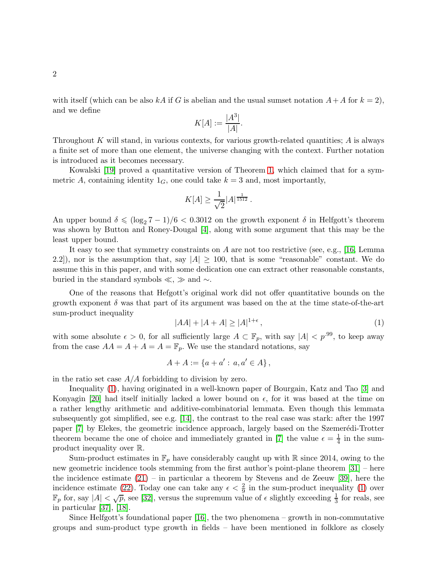with itself (which can be also kA if G is abelian and the usual sumset notation  $A+A$  for  $k=2$ ), and we define

$$
K[A] := \frac{|A^3|}{|A|}.
$$

Throughout K will stand, in various contexts, for various growth-related quantities;  $A$  is always a finite set of more than one element, the universe changing with the context. Further notation is introduced as it becomes necessary.

Kowalski [\[19\]](#page-40-2) proved a quantitative version of Theorem [1,](#page-0-0) which claimed that for a symmetric A, containing identity  $1_G$ , one could take  $k = 3$  and, most importantly,

$$
K[A] \ge \frac{1}{\sqrt{2}} |A|^{\frac{1}{1512}} \, .
$$

An upper bound  $\delta \leq (\log_2 7 - 1)/6 < 0.3012$  on the growth exponent  $\delta$  in Helfgott's theorem was shown by Button and Roney-Dougal [\[4\]](#page-39-0), along with some argument that this may be the least upper bound.

It easy to see that symmetry constraints on A are not too restrictive (see, e.g., [\[16,](#page-40-1) Lemma 2.2]), nor is the assumption that, say  $|A| \ge 100$ , that is some "reasonable" constant. We do assume this in this paper, and with some dedication one can extract other reasonable constants, buried in the standard symbols  $\ll$ ,  $\gg$  and  $\sim$ .

One of the reasons that Hefgott's original work did not offer quantitative bounds on the growth exponent  $\delta$  was that part of its argument was based on the at the time state-of-the-art sum-product inequality

<span id="page-1-0"></span>
$$
|AA| + |A + A| \ge |A|^{1+\epsilon},\tag{1}
$$

with some absolute  $\epsilon > 0$ , for all sufficiently large  $A \subset \mathbb{F}_p$ , with say  $|A| < p^{.99}$ , to keep away from the case  $AA = A + A = \mathbb{F}_p$ . We use the standard notations, say

$$
A + A := \{a + a' : a, a' \in A\},\
$$

in the ratio set case  $A/A$  forbidding to division by zero.

Inequality [\(1\)](#page-1-0), having originated in a well-known paper of Bourgain, Katz and Tao [\[3\]](#page-39-1) and Konyagin [\[20\]](#page-40-3) had itself initially lacked a lower bound on  $\epsilon$ , for it was based at the time on a rather lengthy arithmetic and additive-combinatorial lemmata. Even though this lemmata subsequently got simplified, see e.g. [\[14\]](#page-40-4), the contrast to the real case was stark: after the 1997 paper [\[7\]](#page-40-5) by Elekes, the geometric incidence approach, largely based on the Szemerédi-Trotter theorem became the one of choice and immediately granted in [\[7\]](#page-40-5) the value  $\epsilon = \frac{1}{4}$  $\frac{1}{4}$  in the sumproduct inequality over R.

Sum-product estimates in  $\mathbb{F}_p$  have considerably caught up with R since 2014, owing to the new geometric incidence tools stemming from the first author's point-plane theorem [\[31\]](#page-41-0) – here the incidence estimate  $(21)$  – in particular a theorem by Stevens and de Zeeuw [\[39\]](#page-42-0), here the incidence estimate [\(22\)](#page-22-0). Today one can take any  $\epsilon < \frac{2}{9}$  in the sum-product inequality [\(1\)](#page-1-0) over  $\mathbb{F}_p$  for, say  $|A| < \sqrt{p}$ , see [\[32\]](#page-41-1), versus the supremum value of  $\epsilon$  slightly exceeding  $\frac{1}{3}$  for reals, see in particular [\[37\]](#page-41-2), [\[18\]](#page-40-6).

Since Helfgott's foundational paper  $[16]$ , the two phenomena – growth in non-commutative groups and sum-product type growth in fields – have been mentioned in folklore as closely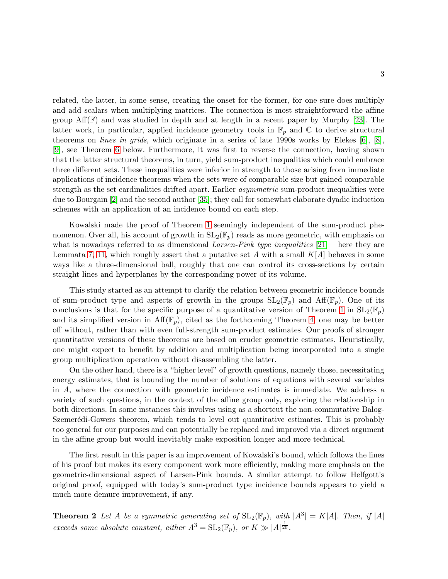related, the latter, in some sense, creating the onset for the former, for one sure does multiply and add scalars when multiplying matrices. The connection is most straightforward the affine group  $\text{Aff}(\mathbb{F})$  and was studied in depth and at length in a recent paper by Murphy [\[23\]](#page-41-3). The latter work, in particular, applied incidence geometry tools in  $\mathbb{F}_p$  and  $\mathbb C$  to derive structural theorems on lines in grids, which originate in a series of late 1990s works by Elekes [\[6\]](#page-40-7), [\[8\]](#page-40-8), [\[9\]](#page-40-9), see Theorem [6](#page-5-0) below. Furthermore, it was first to reverse the connection, having shown that the latter structural theorems, in turn, yield sum-product inequalities which could embrace three different sets. These inequalities were inferior in strength to those arising from immediate applications of incidence theorems when the sets were of comparable size but gained comparable strength as the set cardinalities drifted apart. Earlier asymmetric sum-product inequalities were due to Bourgain [\[2\]](#page-39-2) and the second author [\[35\]](#page-41-4); they call for somewhat elaborate dyadic induction schemes with an application of an incidence bound on each step.

Kowalski made the proof of Theorem [1](#page-0-0) seemingly independent of the sum-product phenomenon. Over all, his account of growth in  $SL_2(\mathbb{F}_p)$  reads as more geometric, with emphasis on what is nowadays referred to as dimensional Larsen-Pink type inequalities  $[21]$  – here they are Lemmata [7,](#page-11-0) [11,](#page-12-0) which roughly assert that a putative set A with a small  $K[A]$  behaves in some ways like a three-dimensional ball, roughly that one can control its cross-sections by certain straight lines and hyperplanes by the corresponding power of its volume.

This study started as an attempt to clarify the relation between geometric incidence bounds of sum-product type and aspects of growth in the groups  $SL_2(\mathbb{F}_p)$  and  $Aff(\mathbb{F}_p)$ . One of its conclusions is that for the specific purpose of a quantitative version of Theorem [1](#page-0-0) in  $SL_2(\mathbb{F}_p)$ and its simplified version in  $\text{Aff}(\mathbb{F}_p)$ , cited as the forthcoming Theorem [4,](#page-4-0) one may be better off without, rather than with even full-strength sum-product estimates. Our proofs of stronger quantitative versions of these theorems are based on cruder geometric estimates. Heuristically, one might expect to benefit by addition and multiplication being incorporated into a single group multiplication operation without disassembling the latter.

On the other hand, there is a "higher level" of growth questions, namely those, necessitating energy estimates, that is bounding the number of solutions of equations with several variables in A, where the connection with geometric incidence estimates is immediate. We address a variety of such questions, in the context of the affine group only, exploring the relationship in both directions. In some instances this involves using as a shortcut the non-commutative Balog-Szemerédi-Gowers theorem, which tends to level out quantitative estimates. This is probably too general for our purposes and can potentially be replaced and improved via a direct argument in the affine group but would inevitably make exposition longer and more technical.

The first result in this paper is an improvement of Kowalski's bound, which follows the lines of his proof but makes its every component work more efficiently, making more emphasis on the geometric-dimensional aspect of Larsen-Pink bounds. A similar attempt to follow Helfgott's original proof, equipped with today's sum-product type incidence bounds appears to yield a much more demure improvement, if any.

<span id="page-2-0"></span>**Theorem 2** Let A be a symmetric generating set of  $SL_2(\mathbb{F}_p)$ , with  $|A^3| = K|A|$ . Then, if  $|A|$ exceeds some absolute constant, either  $A^3 = SL_2(\mathbb{F}_p)$ , or  $K \gg |A|^{\frac{1}{20}}$ .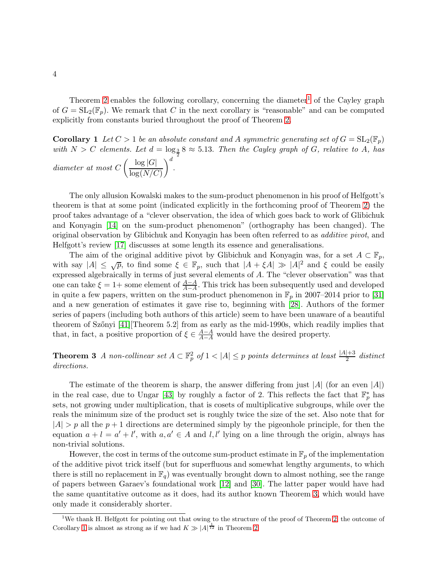Theorem [2](#page-2-0) enables the following corollary, concerning the diameter<sup>[1](#page-3-0)</sup> of the Cayley graph of  $G = SL_2(\mathbb{F}_p)$ . We remark that C in the next corollary is "reasonable" and can be computed explicitly from constants buried throughout the proof of Theorem [2.](#page-2-0)

<span id="page-3-2"></span>**Corollary 1** Let  $C > 1$  be an absolute constant and A symmetric generating set of  $G = SL_2(\mathbb{F}_p)$ with  $N > C$  elements. Let  $d = \log_{\frac{3}{2}} 8 \approx 5.13$ . Then the Cayley graph of G, relative to A, has

diameter at most 
$$
C \left( \frac{\log |G|}{\log(N/C)} \right)^d
$$
.

The only allusion Kowalski makes to the sum-product phenomenon in his proof of Helfgott's theorem is that at some point (indicated explicitly in the forthcoming proof of Theorem [2\)](#page-2-0) the proof takes advantage of a "clever observation, the idea of which goes back to work of Glibichuk and Konyagin [\[14\]](#page-40-4) on the sum-product phenomenon" (orthography has been changed). The original observation by Glibichuk and Konyagin has been often referred to as additive pivot, and Helfgott's review [\[17\]](#page-40-0) discusses at some length its essence and generalisations.

The aim of the original additive pivot by Glibichuk and Konyagin was, for a set  $A \subset \mathbb{F}_p$ , with say  $|A| \leq \sqrt{p}$ , to find some  $\xi \in \mathbb{F}_p$ , such that  $|A + \xi A| \gg |A|^2$  and  $\xi$  could be easily expressed algebraically in terms of just several elements of A. The "clever observation" was that one can take  $\xi = 1+$  some element of  $\frac{A-A}{A-A}$ . This trick has been subsequently used and developed in quite a few papers, written on the sum-product phenomenon in  $\mathbb{F}_p$  in 2007–2014 prior to [\[31\]](#page-41-0) and a new generation of estimates it gave rise to, beginning with [\[28\]](#page-41-5). Authors of the former series of papers (including both authors of this article) seem to have been unaware of a beautiful theorem of Szőnyi  $[41]$ [Theorem 5.2] from as early as the mid-1990s, which readily implies that that, in fact, a positive proportion of  $\xi \in \frac{A-A}{A-A}$  would have the desired property.

<span id="page-3-1"></span>**Theorem 3** A non-collinear set  $A \subset \mathbb{F}_p^2$  of  $1 < |A| \leq p$  points determines at least  $\frac{|A|+3}{2}$  distinct directions.

The estimate of the theorem is sharp, the answer differing from just  $|A|$  (for an even  $|A|$ ) in the real case, due to Ungar [\[43\]](#page-42-2) by roughly a factor of 2. This reflects the fact that  $\mathbb{F}_p^*$  has sets, not growing under multiplication, that is cosets of multiplicative subgroups, while over the reals the minimum size of the product set is roughly twice the size of the set. Also note that for  $|A| > p$  all the  $p + 1$  directions are determined simply by the pigeonhole principle, for then the equation  $a + l = a' + l'$ , with  $a, a' \in A$  and  $l, l'$  lying on a line through the origin, always has non-trivial solutions.

However, the cost in terms of the outcome sum-product estimate in  $\mathbb{F}_p$  of the implementation of the additive pivot trick itself (but for superfluous and somewhat lengthy arguments, to which there is still no replacement in  $\mathbb{F}_q$ ) was eventually brought down to almost nothing, see the range of papers between Garaev's foundational work [\[12\]](#page-40-11) and [\[30\]](#page-41-6). The latter paper would have had the same quantitative outcome as it does, had its author known Theorem [3,](#page-3-1) which would have only made it considerably shorter.

<span id="page-3-0"></span><sup>&</sup>lt;sup>1</sup>We thank H. Helfgott for pointing out that owing to the structure of the proof of Theorem [2,](#page-2-0) the outcome of Corollary [1](#page-3-2) is almost as strong as if we had  $K \gg |A|^{\frac{1}{12}}$  in Theorem [2.](#page-2-0)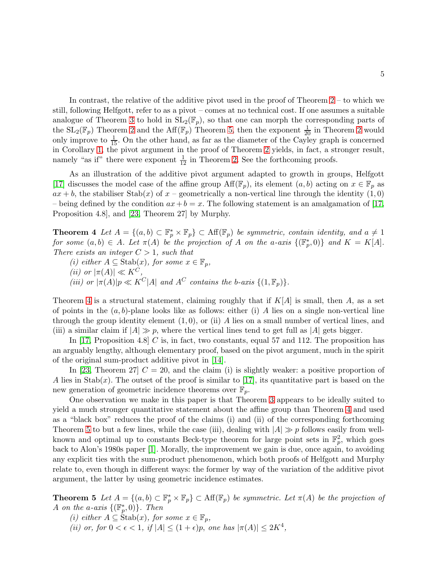In contrast, the relative of the additive pivot used in the proof of Theorem [2](#page-2-0) – to which we still, following Helfgott, refer to as a pivot – comes at no technical cost. If one assumes a suitable analogue of Theorem [3](#page-3-1) to hold in  $SL_2(\mathbb{F}_p)$ , so that one can morph the corresponding parts of the  $SL_2(\mathbb{F}_p)$  Theorem [2](#page-2-0) and the Aff $(\mathbb{F}_p)$  Theorem [5,](#page-4-1) then the exponent  $\frac{1}{20}$  in Theorem 2 would only improve to  $\frac{1}{15}$ . On the other hand, as far as the diameter of the Cayley graph is concerned in Corollary [1,](#page-3-2) the pivot argument in the proof of Theorem [2](#page-2-0) yields, in fact, a stronger result, namely "as if" there were exponent  $\frac{1}{12}$  in Theorem [2.](#page-2-0) See the forthcoming proofs.

As an illustration of the additive pivot argument adapted to growth in groups, Helfgott [\[17\]](#page-40-0) discusses the model case of the affine group  $\text{Aff}(\mathbb{F}_p)$ , its element  $(a, b)$  acting on  $x \in \mathbb{F}_p$  as  $ax + b$ , the stabiliser Stab(x) of x – geometrically a non-vertical line through the identity (1,0) – being defined by the condition  $ax + b = x$ . The following statement is an amalgamation of [\[17,](#page-40-0) Proposition 4.8], and [\[23,](#page-41-3) Theorem 27] by Murphy.

<span id="page-4-0"></span>**Theorem 4** Let  $A = \{(a, b) \subset \mathbb{F}_p^* \times \mathbb{F}_p\} \subset \text{Aff}(\mathbb{F}_p)$  be symmetric, contain identity, and  $a \neq 1$ for some  $(a, b) \in A$ . Let  $\pi(A)$  be the projection of A on the a-axis  $\{(\mathbb{F}_p^*, 0)\}$  and  $K = K[A]$ . There exists an integer  $C > 1$ , such that

(i) either  $A \subseteq$  Stab $(x)$ , for some  $x \in \mathbb{F}_p$ , (ii) or  $|\pi(A)| \ll K^C$ , (iii) or  $|\pi(A)|p \ll K^C|A|$  and  $A^C$  contains the b-axis  $\{(1, \mathbb{F}_p)\}.$ 

Theorem [4](#page-4-0) is a structural statement, claiming roughly that if  $K[A]$  is small, then A, as a set of points in the  $(a, b)$ -plane looks like as follows: either (i) A lies on a single non-vertical line through the group identity element  $(1, 0)$ , or  $(ii)$  A lies on a small number of vertical lines, and (iii) a similar claim if  $|A| \gg p$ , where the vertical lines tend to get full as  $|A|$  gets bigger.

In  $[17,$  Proposition 4.8  $\overline{C}$  is, in fact, two constants, equal 57 and 112. The proposition has an arguably lengthy, although elementary proof, based on the pivot argument, much in the spirit of the original sum-product additive pivot in [\[14\]](#page-40-4).

In [\[23,](#page-41-3) Theorem 27]  $C = 20$ , and the claim (i) is slightly weaker: a positive proportion of A lies in Stab(x). The outset of the proof is similar to [\[17\]](#page-40-0), its quantitative part is based on the new generation of geometric incidence theorems over  $\mathbb{F}_p$ .

One observation we make in this paper is that Theorem [3](#page-3-1) appears to be ideally suited to yield a much stronger quantitative statement about the affine group than Theorem [4](#page-4-0) and used as a "black box" reduces the proof of the claims (i) and (ii) of the corresponding forthcoming Theorem [5](#page-4-1) to but a few lines, while the case (iii), dealing with  $|A| \gg p$  follows easily from wellknown and optimal up to constants Beck-type theorem for large point sets in  $\mathbb{F}_p^2$ , which goes back to Alon's 1980s paper [\[1\]](#page-39-3). Morally, the improvement we gain is due, once again, to avoiding any explicit ties with the sum-product phenomenon, which both proofs of Helfgott and Murphy relate to, even though in different ways: the former by way of the variation of the additive pivot argument, the latter by using geometric incidence estimates.

<span id="page-4-1"></span>**Theorem 5** Let  $A = \{(a, b) \subset \mathbb{F}_p^* \times \mathbb{F}_p\}$   $\subset$  Aff $(\mathbb{F}_p)$  be symmetric. Let  $\pi(A)$  be the projection of A on the a-axis  $\{(\mathbb{F}_p^*,0)\}.$  Then

- (i) either  $A \subseteq$  Stab $(x)$ , for some  $x \in \mathbb{F}_p$ ,
- (ii) or, for  $0 < \epsilon < 1$ , if  $|A| \leq (1 + \epsilon)p$ , one has  $|\pi(A)| \leq 2K^4$ ,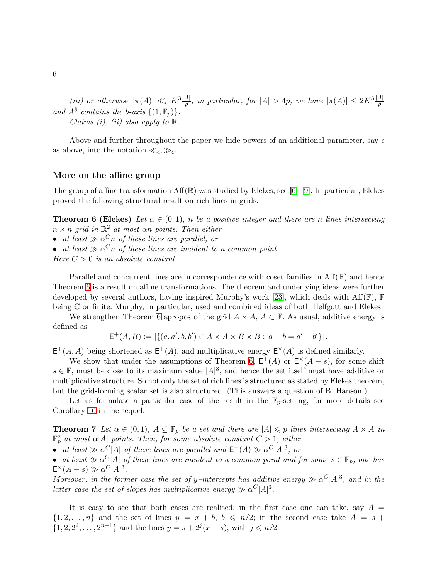(iii) or otherwise  $|\pi(A)| \ll_{\epsilon} K^3 \frac{|A|}{p}$ ; in particular, for  $|A| > 4p$ , we have  $|\pi(A)| \leq 2K^3 \frac{|A|}{p}$ and  $A^8$  contains the b-axis  $\{(1, \mathbb{F}_p)\}.$ Claims (i), (ii) also apply to  $\mathbb R$ .

Above and further throughout the paper we hide powers of an additional parameter, say  $\epsilon$ as above, into the notation  $\ll_{\epsilon, \gg_{\epsilon}}$ .

### More on the affine group

<span id="page-5-0"></span>The group of affine transformation  $\text{Aff}(\mathbb{R})$  was studied by Elekes, see [\[6\]](#page-40-7)–[\[9\]](#page-40-9). In particular, Elekes proved the following structural result on rich lines in grids.

**Theorem 6 (Elekes)** Let  $\alpha \in (0,1)$ , n be a positive integer and there are n lines intersecting  $n \times n$  grid in  $\mathbb{R}^2$  at most an points. Then either

- at least  $\gg \alpha^C n$  of these lines are parallel, or
- at least  $\gg \alpha^C n$  of these lines are incident to a common point.

Here  $C > 0$  is an absolute constant.

Parallel and concurrent lines are in correspondence with coset families in  $\text{Aff}(\mathbb{R})$  and hence Theorem [6](#page-5-0) is a result on affine transformations. The theorem and underlying ideas were further developed by several authors, having inspired Murphy's work [\[23\]](#page-41-3), which deals with  $Aff(F)$ , F being C or finite. Murphy, in particular, used and combined ideas of both Helfgott and Elekes.

We strengthen Theorem [6](#page-5-0) apropos of the grid  $A \times A$ ,  $A \subset \mathbb{F}$ . As usual, additive energy is defined as

$$
E^+(A, B) := |\{(a, a', b, b') \in A \times A \times B \times B : a - b = a' - b'\}|,
$$

 $E^+(A, A)$  being shortened as  $E^+(A)$ , and multiplicative energy  $E^{\times}(A)$  is defined similarly.

We show that under the assumptions of Theorem [6,](#page-5-0)  $E^+(A)$  or  $E^{\times}(A-s)$ , for some shift  $s \in \mathbb{F}$ , must be close to its maximum value  $|A|^3$ , and hence the set itself must have additive or multiplicative structure. So not only the set of rich lines is structured as stated by Elekes theorem, but the grid-forming scalar set is also structured. (This answers a question of B. Hanson.)

<span id="page-5-1"></span>Let us formulate a particular case of the result in the  $\mathbb{F}_p$ -setting, for more details see Corollary [16](#page-28-0) in the sequel.

**Theorem 7** Let  $\alpha \in (0,1)$ ,  $A \subseteq \mathbb{F}_p$  be a set and there are  $|A| \leq p$  lines intersecting  $A \times A$  in  $\mathbb{F}_p^2$  at most  $\alpha |A|$  points. Then, for some absolute constant  $C > 1$ , either

• at least  $\gg \alpha^C |A|$  of these lines are parallel and  $\mathsf{E}^+(A) \gg \alpha^C |A|^3$ , or

• at least  $\gg \alpha^C |A|$  of these lines are incident to a common point and for some  $s \in \mathbb{F}_p$ , one has  $\mathsf{E}^{\times}(A-s)\gg\alpha^C|A|^3.$ 

Moreover, in the former case the set of y–intercepts has additive energy  $\gg \alpha^C |A|^3$ , and in the latter case the set of slopes has multiplicative energy  $\gg \alpha^C |A|^3$ .

It is easy to see that both cases are realised: in the first case one can take, say  $A =$  $\{1, 2, \ldots, n\}$  and the set of lines  $y = x + b$ ,  $b \leq n/2$ ; in the second case take  $A = s +$  $\{1, 2, 2^2, \ldots, 2^{n-1}\}\$ and the lines  $y = s + 2^j(x - s)$ , with  $j \leq n/2$ .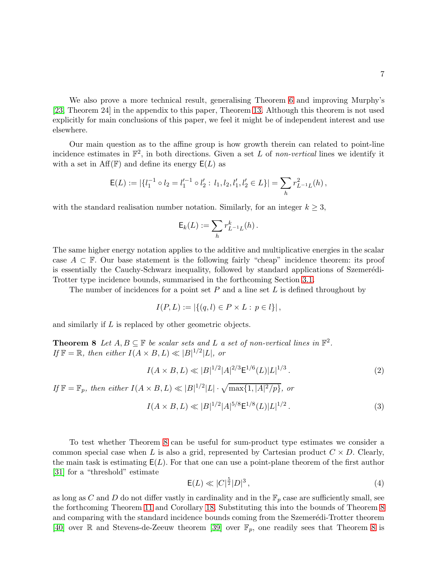We also prove a more technical result, generalising Theorem [6](#page-5-0) and improving Murphy's [\[23,](#page-41-3) Theorem 24] in the appendix to this paper, Theorem [13.](#page-36-0) Although this theorem is not used explicitly for main conclusions of this paper, we feel it might be of independent interest and use elsewhere.

Our main question as to the affine group is how growth therein can related to point-line incidence estimates in  $\mathbb{F}^2$ , in both directions. Given a set L of non-vertical lines we identify it with a set in  $\text{Aff}(\mathbb{F})$  and define its energy  $\mathsf{E}(L)$  as

$$
\mathsf{E}(L) := |\{l_1^{-1} \circ l_2 = l_1'^{-1} \circ l_2' : l_1, l_2, l_1', l_2' \in L\}| = \sum_h r_{L^{-1}L}^2(h),
$$

with the standard realisation number notation. Similarly, for an integer  $k \geq 3$ ,

$$
\mathsf{E}_k(L) := \sum_h r_{L^{-1}L}^k(h).
$$

The same higher energy notation applies to the additive and multiplicative energies in the scalar case  $A \subset \mathbb{F}$ . Our base statement is the following fairly "cheap" incidence theorem: its proof is essentially the Cauchy-Schwarz inequality, followed by standard applications of Szemerédi-Trotter type incidence bounds, summarised in the forthcoming Section [3.1.](#page-21-1)

The number of incidences for a point set  $P$  and a line set  $L$  is defined throughout by

$$
I(P, L) := |\{(q, l) \in P \times L : p \in l\}|,
$$

and similarly if L is replaced by other geometric objects.

**Theorem 8** Let  $A, B \subseteq \mathbb{F}$  be scalar sets and L a set of non-vertical lines in  $\mathbb{F}^2$ . If  $\mathbb{F} = \mathbb{R}$ , then either  $I(A \times B, L) \ll |B|^{1/2} |L|$ , or

<span id="page-6-2"></span>
$$
I(A \times B, L) \ll |B|^{1/2} |A|^{2/3} \mathsf{E}^{1/6}(L) |L|^{1/3}.
$$
 (2)

If  $\mathbb{F} = \mathbb{F}_p$ , then either  $I(A \times B, L) \ll |B|^{1/2} |L| \cdot \sqrt{\max\{1, |A|^2/p\}},$  or

<span id="page-6-0"></span>
$$
I(A \times B, L) \ll |B|^{1/2} |A|^{5/8} \mathsf{E}^{1/8}(L) |L|^{1/2}.
$$
 (3)

To test whether Theorem [8](#page-6-0) can be useful for sum-product type estimates we consider a common special case when L is also a grid, represented by Cartesian product  $C \times D$ . Clearly, the main task is estimating  $E(L)$ . For that one can use a point-plane theorem of the first author [\[31\]](#page-41-0) for a "threshold" estimate

<span id="page-6-1"></span>
$$
E(L) \ll |C|^{\frac{5}{2}}|D|^3\,,\tag{4}
$$

as long as C and D do not differ vastly in cardinality and in the  $\mathbb{F}_p$  case are sufficiently small, see the forthcoming Theorem [11](#page-25-0) and Corollary [18.](#page-32-0) Substituting this into the bounds of Theorem [8](#page-6-0) and comparing with the standard incidence bounds coming from the Szemerédi-Trotter theorem [\[40\]](#page-42-3) over R and Stevens-de-Zeeuw theorem [\[39\]](#page-42-0) over  $\mathbb{F}_p$ , one readily sees that Theorem [8](#page-6-0) is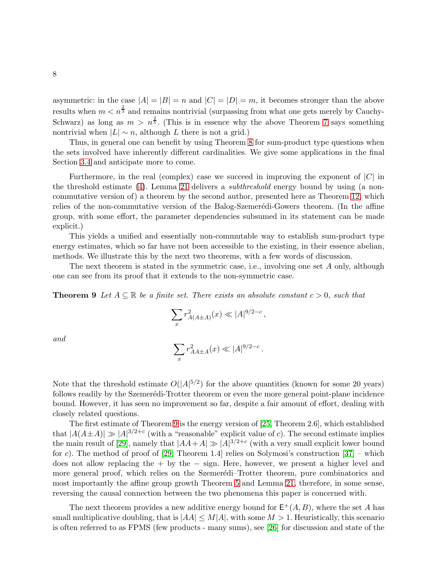asymmetric: in the case  $|A| = |B| = n$  and  $|C| = |D| = m$ , it becomes stronger than the above results when  $m < n^{\frac{2}{3}}$  and remains nontrivial (surpassing from what one gets merely by Cauchy-Schwarz) as long as  $m > n^{\frac{2}{5}}$ . (This is in essence why the above Theorem [7](#page-5-1) says something nontrivial when  $|L| \sim n$ , although L there is not a grid.)

Thus, in general one can benefit by using Theorem [8](#page-6-0) for sum-product type questions when the sets involved have inherently different cardinalities. We give some applications in the final Section [3.4](#page-29-0) and anticipate more to come.

Furthermore, in the real (complex) case we succeed in improving the exponent of  $|C|$  in the threshold estimate [\(4\)](#page-6-1). Lemma [21](#page-34-0) delivers a subthreshold energy bound by using (a noncommutative version of) a theorem by the second author, presented here as Theorem [12,](#page-33-0) which relies of the non-commutative version of the Balog-Szemerédi-Gowers theorem. (In the affine group, with some effort, the parameter dependencies subsumed in its statement can be made explicit.)

This yields a unified and essentially non-commutable way to establish sum-product type energy estimates, which so far have not been accessible to the existing, in their essence abelian, methods. We illustrate this by the next two theorems, with a few words of discussion.

<span id="page-7-0"></span>The next theorem is stated in the symmetric case, i.e., involving one set  $A$  only, although one can see from its proof that it extends to the non-symmetric case.

**Theorem 9** Let  $A \subseteq \mathbb{R}$  be a finite set. There exists an absolute constant  $c > 0$ , such that

$$
\sum_{x} r_{A(A \pm A)}^2(x) \ll |A|^{9/2 - c},
$$

and

$$
\sum_x r_{AA\pm A}^2(x) \ll |A|^{9/2-c}
$$

.

Note that the threshold estimate  $O(|A|^{5/2})$  for the above quantities (known for some 20 years) follows readily by the Szemerédi-Trotter theorem or even the more general point-plane incidence bound. However, it has seen no improvement so far, despite a fair amount of effort, dealing with closely related questions.

The first estimate of Theorem [9](#page-7-0) is the energy version of [\[25,](#page-41-7) Theorem 2.6], which established that  $|A(A \pm A)| \gg |A|^{3/2+c}$  (with a "reasonable" explicit value of c). The second estimate implies the main result of [\[29\]](#page-41-8), namely that  $|AA+A| \gg |A|^{3/2+c}$  (with a very small explicit lower bound for c). The method of proof of [\[29,](#page-41-8) Theorem 1.4] relies on Solymosi's construction  $[37]$  – which does not allow replacing the + by the − sign. Here, however, we present a higher level and more general proof, which relies on the Szemerédi–Trotter theorem, pure combinatorics and most importantly the affine group growth Theorem [5](#page-4-1) and Lemma [21,](#page-34-0) therefore, in some sense, reversing the causal connection between the two phenomena this paper is concerned with.

The next theorem provides a new additive energy bound for  $\mathsf{E}^+(A, B)$ , where the set A has small multiplicative doubling, that is  $|AA| \leq M|A|$ , with some  $M > 1$ . Heuristically, this scenario is often referred to as FPMS (few products - many sums), see [\[26\]](#page-41-9) for discussion and state of the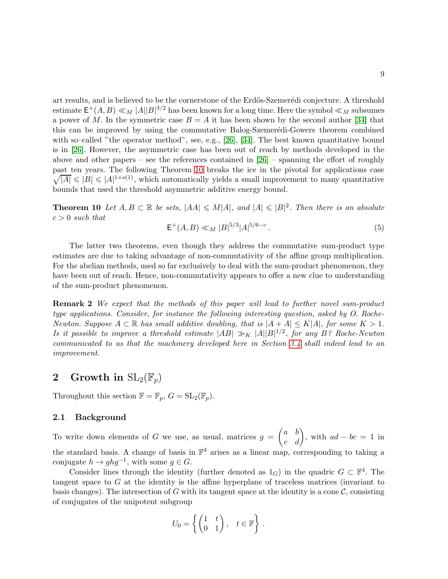art results, and is believed to be the cornerstone of the Erdős-Szemerédi conjecture. A threshold estimate  $\mathsf{E}^+(A, B) \ll_M |A||B|^{3/2}$  has been known for a long time. Here the symbol  $\ll_M$  subsumes a power of M. In the symmetric case  $B = A$  it has been shown by the second author [\[34\]](#page-41-10) that this can be improved by using the commutative Balog-Szemerédi-Gowers theorem combined with so–called "the operator method", see, e.g., [\[26\]](#page-41-9), [\[34\]](#page-41-10). The best known quantitative bound is in [\[26\]](#page-41-9). However, the asymmetric case has been out of reach by methods developed in the above and other papers – see the references contained in  $[26]$  – spanning the effort of roughly past ten years. The following Theorem [10](#page-8-0) breaks the ice in the pivotal for applications case  $\sqrt{|A|} \leq |B| \leq |A|^{1+o(1)}$ , which automatically yields a small improvement to many quantitative bounds that used the threshold asymmetric additive energy bound.

<span id="page-8-0"></span>**Theorem 10** Let  $A, B \subset \mathbb{R}$  be sets,  $|AA| \le M|A|$ , and  $|A| \le |B|^2$ . Then there is an absolute  $c > 0$  such that

$$
\mathsf{E}^+(A,B) \ll_M |B|^{5/3} |A|^{5/6 - c} \,. \tag{5}
$$

The latter two theorems, even though they address the commutative sum-product type estimates are due to taking advantage of non-commutativity of the affine group multiplication. For the abelian methods, used so far exclusively to deal with the sum-product phenomenon, they have been out of reach. Hence, non-commutativity appears to offer a new clue to understanding of the sum-product phenomenon.

**Remark 2** We expect that the methods of this paper will lead to further novel sum-product type applications. Consider, for instance the following interesting question, asked by O. Roche-Newton. Suppose  $A \subset \mathbb{R}$  has small additive doubling, that is  $|A + A| \leq K |A|$ , for some  $K > 1$ . Is it possible to improve a threshold estimate  $|AB| \gg_K |A||B|^{1/2}$ , for any B? Roche-Newton communicated to us that the machinery developed here in Section [3.4](#page-29-0) shall indeed lead to an improvement.

# <span id="page-8-1"></span>2 Growth in  $\mathrm{SL}_2(\mathbb{F}_p)$

Throughout this section  $\mathbb{F} = \mathbb{F}_p$ ,  $G = SL_2(\mathbb{F}_p)$ .

# 2.1 Background

To write down elements of G we use, as usual, matrices  $g = \begin{pmatrix} a & b \\ c & d \end{pmatrix}$ , with  $ad - bc = 1$  in the standard basis. A change of basis in  $\mathbb{F}^4$  arises as a linear map, corresponding to taking a conjugate  $h \to ghg^{-1}$ , with some  $g \in G$ .

Consider lines through the identity (further denoted as  $1_G$ ) in the quadric  $G \subset \mathbb{F}^4$ . The tangent space to G at the identity is the affine hyperplane of traceless matrices (invariant to basis changes). The intersection of G with its tangent space at the identity is a cone  $\mathcal{C}$ , consisting of conjugates of the unipotent subgroup

$$
U_0 = \left\{ \begin{pmatrix} 1 & t \\ 0 & 1 \end{pmatrix}, \quad t \in \mathbb{F} \right\}.
$$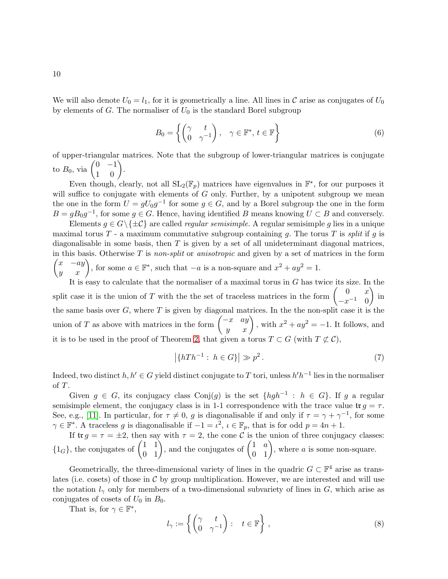We will also denote  $U_0 = l_1$ , for it is geometrically a line. All lines in C arise as conjugates of  $U_0$ by elements of  $G$ . The normaliser of  $U_0$  is the standard Borel subgroup

<span id="page-9-2"></span>
$$
B_0 = \left\{ \begin{pmatrix} \gamma & t \\ 0 & \gamma^{-1} \end{pmatrix}, \quad \gamma \in \mathbb{F}^*, \, t \in \mathbb{F} \right\} \tag{6}
$$

of upper-triangular matrices. Note that the subgroup of lower-triangular matrices is conjugate to  $B_0$ , via  $\begin{pmatrix} 0 & -1 \\ 1 & 0 \end{pmatrix}$ .

Even though, clearly, not all  $SL_2(\mathbb{F}_p)$  matrices have eigenvalues in  $\mathbb{F}^*$ , for our purposes it will suffice to conjugate with elements of  $G$  only. Further, by a unipotent subgroup we mean the one in the form  $U = gU_0g^{-1}$  for some  $g \in G$ , and by a Borel subgroup the one in the form  $B = gB_0g^{-1}$ , for some  $g \in G$ . Hence, having identified B means knowing  $U \subset B$  and conversely.

Elements  $g \in G \backslash \{\pm \mathcal{C}\}\$ are called *regular semisimple*. A regular semisimple g lies in a unique maximal torus  $T$  - a maximum commutative subgroup containing g. The torus T is split if g is diagonalisable in some basis, then  $T$  is given by a set of all unideterminant diagonal matrices,  $\begin{pmatrix} x & -ay \\ y & x \end{pmatrix}$ , for some  $a \in \mathbb{F}^*$ , such that  $-a$  is a non-square and  $x^2 + ay^2 = 1$ . in this basis. Otherwise  $T$  is non-split or anisotropic and given by a set of matrices in the form

It is easy to calculate that the normaliser of a maximal torus in  $G$  has twice its size. In the split case it is the union of T with the the set of traceless matrices in the form  $\begin{pmatrix} 0 & x \\ -1 & 0 \end{pmatrix}$  $-x^{-1}$  0  $\big)$  in the same basis over  $G$ , where  $T$  is given by diagonal matrices. In the the non-split case it is the union of T as above with matrices in the form  $\begin{pmatrix} -x & ay \\ y & x \end{pmatrix}$ , with  $x^2 + ay^2 = -1$ . It follows, and it is to be used in the proof of Theorem [2,](#page-2-0) that given a torus  $T \subset G$  (with  $T \not\subset C$ ),

<span id="page-9-1"></span>
$$
\left|\{hTh^{-1}:\ h\in G\}\right|\gg p^2\,. \tag{7}
$$

Indeed, two distinct  $h, h' \in G$  yield distinct conjugate to T tori, unless  $h'h^{-1}$  lies in the normaliser of T.

Given  $g \in G$ , its conjugacy class Conj $(g)$  is the set  $\{hgh^{-1} : h \in G\}$ . If g a regular semisimple element, the conjugacy class is in 1-1 correspondence with the trace value  $\text{tr } g = \tau$ . See, e.g., [\[11\]](#page-40-12). In particular, for  $\tau \neq 0$ , g is diagonalisable if and only if  $\tau = \gamma + \gamma^{-1}$ , for some  $\gamma \in \mathbb{F}^*$ . A traceless g is diagonalisable if  $-1 = \iota^2$ ,  $\iota \in \mathbb{F}_p$ , that is for odd  $p = 4n + 1$ .

If  $\text{tr } g = \tau = \pm 2$ , then say with  $\tau = 2$ , the cone C is the union of three conjugacy classes:  ${1_G}$ , the conjugates of  $\begin{pmatrix} 1 & 1 \\ 0 & 1 \end{pmatrix}$ , and the conjugates of  $\begin{pmatrix} 1 & a \\ 0 & 1 \end{pmatrix}$ , where a is some non-square.

Geometrically, the three-dimensional variety of lines in the quadric  $G \subset \mathbb{F}^4$  arise as translates (i.e. cosets) of those in  $\mathcal C$  by group multiplication. However, we are interested and will use the notation  $l_{\gamma}$  only for members of a two-dimensional subvariety of lines in G, which arise as conjugates of cosets of  $U_0$  in  $B_0$ .

That is, for  $\gamma \in \mathbb{F}^*$ ,

<span id="page-9-0"></span>
$$
l_{\gamma} := \left\{ \begin{pmatrix} \gamma & t \\ 0 & \gamma^{-1} \end{pmatrix} : \quad t \in \mathbb{F} \right\},\tag{8}
$$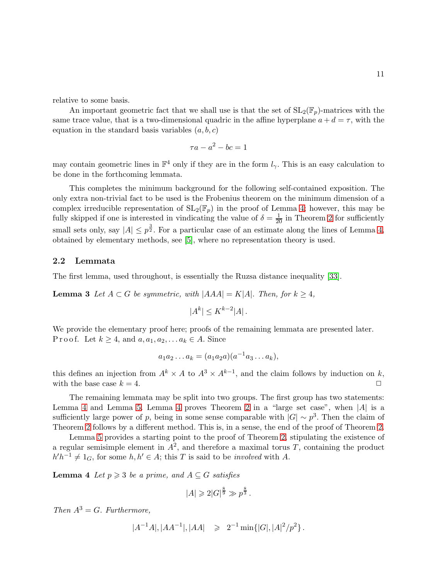relative to some basis.

An important geometric fact that we shall use is that the set of  $SL_2(\mathbb{F}_p)$ -matrices with the same trace value, that is a two-dimensional quadric in the affine hyperplane  $a + d = \tau$ , with the equation in the standard basis variables  $(a, b, c)$ 

$$
\tau a - a^2 - bc = 1
$$

may contain geometric lines in  $\mathbb{F}^4$  only if they are in the form  $l_{\gamma}$ . This is an easy calculation to be done in the forthcoming lemmata.

This completes the minimum background for the following self-contained exposition. The only extra non-trivial fact to be used is the Frobenius theorem on the minimum dimension of a complex irreducible representation of  $SL_2(\mathbb{F}_p)$  in the proof of Lemma [4;](#page-10-0) however, this may be fully skipped if one is interested in vindicating the value of  $\delta = \frac{1}{20}$  in Theorem [2](#page-2-0) for sufficiently small sets only, say  $|A| \leq p^{\frac{3}{2}}$ . For a particular case of an estimate along the lines of Lemma [4,](#page-10-0) obtained by elementary methods, see [\[5\]](#page-40-13), where no representation theory is used.

## 2.2 Lemmata

<span id="page-10-1"></span>The first lemma, used throughout, is essentially the Ruzsa distance inequality [\[33\]](#page-41-11).

**Lemma 3** Let  $A \subset G$  be symmetric, with  $|AAA| = K|A|$ . Then, for  $k \geq 4$ ,

$$
|A^k| \le K^{k-2}|A|.
$$

We provide the elementary proof here; proofs of the remaining lemmata are presented later. P r o o f. Let  $k \geq 4$ , and  $a, a_1, a_2, \ldots a_k \in A$ . Since

$$
a_1 a_2 \dots a_k = (a_1 a_2 a)(a^{-1} a_3 \dots a_k),
$$

this defines an injection from  $A^k \times A$  to  $A^3 \times A^{k-1}$ , and the claim follows by induction on k, with the base case  $k = 4$ .

The remaining lemmata may be split into two groups. The first group has two statements: Lemma [4](#page-10-0) and Lemma [5.](#page-11-1) Lemma 4 proves Theorem [2](#page-2-0) in a "large set case", when  $|A|$  is a sufficiently large power of p, being in some sense comparable with  $|G| \sim p^3$ . Then the claim of Theorem [2](#page-2-0) follows by a different method. This is, in a sense, the end of the proof of Theorem [2.](#page-2-0)

Lemma [5](#page-11-1) provides a starting point to the proof of Theorem [2,](#page-2-0) stipulating the existence of a regular semisimple element in  $A^2$ , and therefore a maximal torus T, containing the product  $h'h^{-1} \neq 1_G$ , for some  $h, h' \in A$ ; this T is said to be *involved* with A.

<span id="page-10-0"></span>**Lemma 4** Let  $p \ge 3$  be a prime, and  $A \subseteq G$  satisfies

$$
|A| \geq 2|G|^{\frac{8}{9}} \gg p^{\frac{8}{3}}.
$$

Then  $A^3 = G$ . Furthermore,

$$
|A^{-1}A|, |AA^{-1}|, |AA| \geq 2^{-1} \min\{|G|, |A|^2/p^2\}.
$$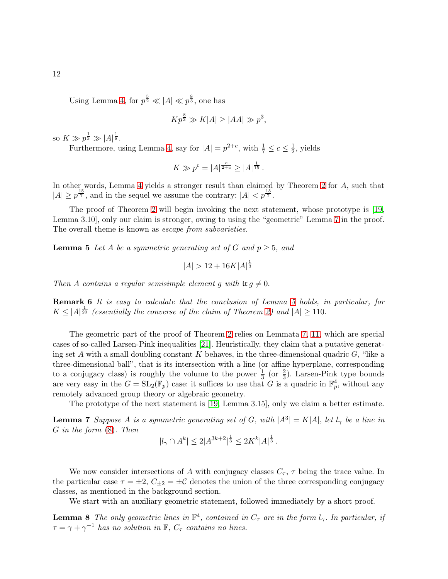Using Lemma [4,](#page-10-0) for  $p^{\frac{5}{2}} \ll |A| \ll p^{\frac{8}{3}}$ , one has

$$
Kp^{\frac{8}{3}} \gg K|A| \ge |AA| \gg p^3,
$$

so  $K \gg p^{\frac{1}{3}} \gg |A|^{\frac{1}{8}}$ .

Furthermore, using Lemma [4,](#page-10-0) say for  $|A| = p^{2+c}$ , with  $\frac{1}{7} \leq c \leq \frac{1}{2}$ , yields

$$
K \gg p^c = |A|^{\frac{c}{2+c}} \ge |A|^{\frac{1}{15}}.
$$

In other words, Lemma [4](#page-10-0) yields a stronger result than claimed by Theorem [2](#page-2-0) for A, such that  $|A| \ge p^{\frac{15}{7}}$ , and in the sequel we assume the contrary:  $|A| < p^{\frac{15}{7}}$ .

The proof of Theorem [2](#page-2-0) will begin invoking the next statement, whose prototype is [\[19,](#page-40-2) Lemma 3.10], only our claim is stronger, owing to using the "geometric" Lemma [7](#page-11-0) in the proof. The overall theme is known as *escape from subvarieties*.

<span id="page-11-1"></span>**Lemma 5** Let A be a symmetric generating set of G and  $p \geq 5$ , and

$$
|A| > 12 + 16K|A|^{\frac{1}{3}}
$$

Then A contains a regular semisimple element g with  $\text{tr } g \neq 0$ .

Remark 6 It is easy to calculate that the conclusion of Lemma [5](#page-11-1) holds, in particular, for  $K \leq |A|^{\frac{1}{20}}$  (essentially the converse of the claim of Theorem [2\)](#page-2-0) and  $|A| \geq 110$ .

The geometric part of the proof of Theorem [2](#page-2-0) relies on Lemmata [7,](#page-11-0) [11,](#page-12-0) which are special cases of so-called Larsen-Pink inequalities [\[21\]](#page-40-10). Heuristically, they claim that a putative generating set A with a small doubling constant K behaves, in the three-dimensional quadric  $G$ , "like a three-dimensional ball", that is its intersection with a line (or affine hyperplane, corresponding to a conjugacy class) is roughly the volume to the power  $\frac{1}{3}$  (or  $\frac{2}{3}$ ). Larsen-Pink type bounds are very easy in the  $G = SL_2(\mathbb{F}_p)$  case: it suffices to use that G is a quadric in  $\mathbb{F}_p^4$ , without any remotely advanced group theory or algebraic geometry.

The prototype of the next statement is [\[19,](#page-40-2) Lemma 3.15], only we claim a better estimate.

**Lemma 7** Suppose A is a symmetric generating set of G, with  $|A^3| = K|A|$ , let  $l_\gamma$  be a line in G in the form [\(8\)](#page-9-0). Then

<span id="page-11-2"></span><span id="page-11-0"></span>
$$
|l_{\gamma} \cap A^k| \le 2|A^{3k+2}|^{\frac{1}{3}} \le 2K^k|A|^{\frac{1}{3}}.
$$

We now consider intersections of A with conjugacy classes  $C_{\tau}$ ,  $\tau$  being the trace value. In the particular case  $\tau = \pm 2$ ,  $C_{\pm 2} = \pm C$  denotes the union of the three corresponding conjugacy classes, as mentioned in the background section.

We start with an auxiliary geometric statement, followed immediately by a short proof.

**Lemma 8** The only geometric lines in  $\mathbb{F}^4$ , contained in  $C_{\tau}$  are in the form  $l_{\gamma}$ . In particular, if  $\tau = \gamma + \gamma^{-1}$  has no solution in  $\mathbb{F}, C_{\tau}$  contains no lines.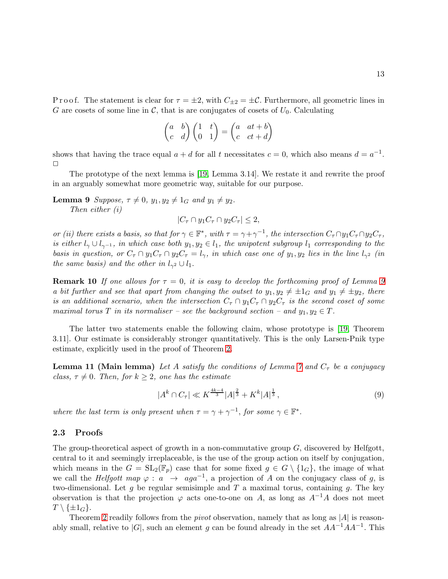P r o o f. The statement is clear for  $\tau = \pm 2$ , with  $C_{\pm 2} = \pm C$ . Furthermore, all geometric lines in G are cosets of some line in C, that is are conjugates of cosets of  $U_0$ . Calculating

$$
\begin{pmatrix} a & b \\ c & d \end{pmatrix} \begin{pmatrix} 1 & t \\ 0 & 1 \end{pmatrix} = \begin{pmatrix} a & at + b \\ c & ct + d \end{pmatrix}
$$

shows that having the trace equal  $a + d$  for all t necessitates  $c = 0$ , which also means  $d = a^{-1}$ .  $\Box$ 

The prototype of the next lemma is [\[19,](#page-40-2) Lemma 3.14]. We restate it and rewrite the proof in an arguably somewhat more geometric way, suitable for our purpose.

**Lemma 9** Suppose,  $\tau \neq 0$ ,  $y_1, y_2 \neq 1_G$  and  $y_1 \neq y_2$ . Then either (i)

<span id="page-12-1"></span> $|C_{\tau} \cap y_1 C_{\tau} \cap y_2 C_{\tau}| \leq 2$ ,

or (ii) there exists a basis, so that for  $\gamma \in \mathbb{F}^*$ , with  $\tau = \gamma + \gamma^{-1}$ , the intersection  $C_{\tau} \cap y_1 C_{\tau} \cap y_2 C_{\tau}$ , is either  $l_{\gamma} \cup l_{\gamma-1}$ , in which case both  $y_1, y_2 \in l_1$ , the unipotent subgroup  $l_1$  corresponding to the basis in question, or  $C_{\tau} \cap y_1C_{\tau} \cap y_2C_{\tau} = l_{\gamma}$ , in which case one of  $y_1, y_2$  lies in the line  $l_{\gamma^2}$  (in the same basis) and the other in  $l_{\gamma^2} \cup l_1$ .

<span id="page-12-3"></span>**Remark 10** If one allows for  $\tau = 0$ , it is easy to develop the forthcoming proof of Lemma [9](#page-12-1) a bit further and see that apart from changing the outset to  $y_1, y_2 \neq \pm 1_G$  and  $y_1 \neq \pm y_2$ , there is an additional scenario, when the intersection  $C_\tau \cap y_1C_\tau \cap y_2C_\tau$  is the second coset of some maximal torus T in its normaliser – see the background section – and  $y_1, y_2 \in T$ .

The latter two statements enable the following claim, whose prototype is [\[19,](#page-40-2) Theorem 3.11]. Our estimate is considerably stronger quantitatively. This is the only Larsen-Pnik type estimate, explicitly used in the proof of Theorem [2.](#page-2-0)

<span id="page-12-0"></span>**Lemma 11 (Main lemma)** Let A satisfy the conditions of Lemma [7](#page-11-0) and  $C<sub>\tau</sub>$  be a conjugacy class,  $\tau \neq 0$ . Then, for  $k \geq 2$ , one has the estimate

<span id="page-12-2"></span>
$$
|A^k \cap C_\tau| \ll K^{\frac{4k-4}{3}} |A|^{\frac{2}{3}} + K^k |A|^{\frac{1}{3}},\tag{9}
$$

where the last term is only present when  $\tau = \gamma + \gamma^{-1}$ , for some  $\gamma \in \mathbb{F}^*$ .

#### 2.3 Proofs

The group-theoretical aspect of growth in a non-commutative group  $G$ , discovered by Helfgott, central to it and seemingly irreplaceable, is the use of the group action on itself by conjugation, which means in the  $G = SL_2(\mathbb{F}_p)$  case that for some fixed  $g \in G \setminus \{1_G\}$ , the image of what we call the *Helfgott map*  $\varphi : a \rightarrow aga^{-1}$ , a projection of A on the conjugacy class of g, is two-dimensional. Let g be regular semisimple and  $T$  a maximal torus, containing g. The key observation is that the projection  $\varphi$  acts one-to-one on A, as long as  $A^{-1}A$  does not meet  $T \setminus {\pm 1_G}.$ 

Theorem [2](#page-2-0) readily follows from the *pivot* observation, namely that as long as  $|A|$  is reasonably small, relative to  $|G|$ , such an element g can be found already in the set  $AA^{-1}AA^{-1}$ . This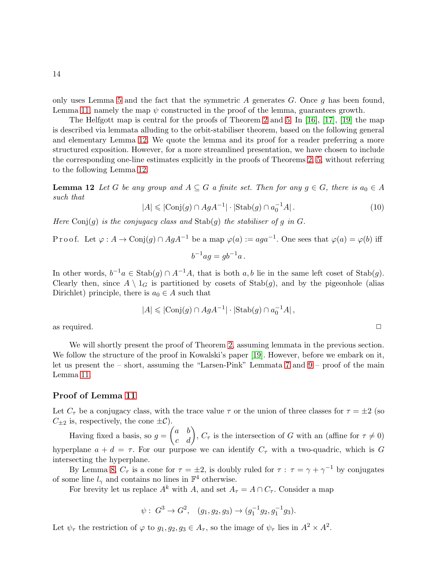only uses Lemma [5](#page-11-1) and the fact that the symmetric  $A$  generates  $G$ . Once  $g$  has been found, Lemma [11,](#page-12-0) namely the map  $\psi$  constructed in the proof of the lemma, guarantees growth.

The Helfgott map is central for the proofs of Theorem [2](#page-2-0) and [5.](#page-4-1) In [\[16\]](#page-40-1), [\[17\]](#page-40-0), [\[19\]](#page-40-2) the map is described via lemmata alluding to the orbit-stabiliser theorem, based on the following general and elementary Lemma [12.](#page-13-0) We quote the lemma and its proof for a reader preferring a more structured exposition. However, for a more streamlined presentation, we have chosen to include the corresponding one-line estimates explicitly in the proofs of Theorems [2,](#page-2-0) [5,](#page-4-1) without referring to the following Lemma [12.](#page-13-0)

**Lemma 12** Let G be any group and  $A \subseteq G$  a finite set. Then for any  $g \in G$ , there is  $a_0 \in A$ such that

<span id="page-13-0"></span>
$$
|A| \leq |\text{Conj}(g) \cap AgA^{-1}| \cdot |\text{Stab}(g) \cap a_0^{-1}A|.
$$
 (10)

Here Conj(q) is the conjugacy class and  $\text{Stab}(q)$  the stabiliser of q in G.

Proof. Let 
$$
\varphi : A \to \text{Conj}(g) \cap AgA^{-1}
$$
 be a map  $\varphi(a) := aga^{-1}$ . One sees that  $\varphi(a) = \varphi(b)$  iff  

$$
b^{-1}ag = gb^{-1}a.
$$

In other words,  $b^{-1}a \in \text{Stab}(g) \cap A^{-1}A$ , that is both  $a, b$  lie in the same left coset of  $\text{Stab}(g)$ . Clearly then, since  $A \setminus 1_G$  is partitioned by cosets of  $\text{Stab}(g)$ , and by the pigeonhole (alias Dirichlet) principle, there is  $a_0 \in A$  such that

$$
|A| \leqslant |\text{Conj}(g) \cap AgA^{-1}| \cdot |\text{Stab}(g) \cap a_0^{-1}A|\,,
$$
 as required.  $\Box$ 

We will shortly present the proof of Theorem [2,](#page-2-0) assuming lemmata in the previous section. We follow the structure of the proof in Kowalski's paper [\[19\]](#page-40-2). However, before we embark on it, let us present the – short, assuming the "Larsen-Pink" Lemmata [7](#page-11-0) and [9](#page-12-1) – proof of the main Lemma [11.](#page-12-0)

### Proof of Lemma [11](#page-12-0)

Let  $C_{\tau}$  be a conjugacy class, with the trace value  $\tau$  or the union of three classes for  $\tau = \pm 2$  (so  $C_{\pm 2}$  is, respectively, the cone  $\pm C$ ).

Having fixed a basis, so  $g = \begin{pmatrix} a & b \\ c & d \end{pmatrix}$ ,  $C_{\tau}$  is the intersection of G with an (affine for  $\tau \neq 0$ ) hyperplane  $a + d = \tau$ . For our purpose we can identify  $C_{\tau}$  with a two-quadric, which is G intersecting the hyperplane.

By Lemma [8,](#page-11-2)  $C_{\tau}$  is a cone for  $\tau = \pm 2$ , is doubly ruled for  $\tau : \tau = \gamma + \gamma^{-1}$  by conjugates of some line  $l_{\gamma}$  and contains no lines in  $\mathbb{F}^{4}$  otherwise.

For brevity let us replace  $A^k$  with A, and set  $A_\tau = A \cap C_\tau$ . Consider a map

$$
\psi
$$
:  $G^3 \to G^2$ ,  $(g_1, g_2, g_3) \to (g_1^{-1}g_2, g_1^{-1}g_3)$ .

Let  $\psi_{\tau}$  the restriction of  $\varphi$  to  $g_1, g_2, g_3 \in A_{\tau}$ , so the image of  $\psi_{\tau}$  lies in  $A^2 \times A^2$ .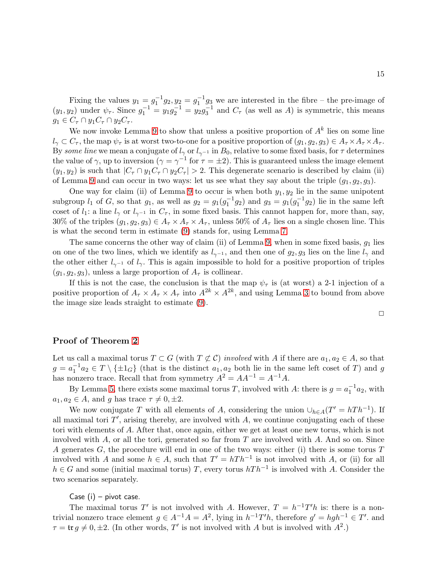Fixing the values  $y_1 = g_1^{-1}g_2, y_2 = g_1^{-1}g_3$  we are interested in the fibre – the pre-image of  $(y_1, y_2)$  under  $\psi_\tau$ . Since  $g_1^{-1} = y_1 g_2^{-1} = y_2 g_3^{-1}$  and  $C_\tau$  (as well as A) is symmetric, this means  $g_1 \in C_\tau \cap y_1C_\tau \cap y_2C_\tau.$ 

We now invoke Lemma [9](#page-12-1) to show that unless a positive proportion of  $A<sup>k</sup>$  lies on some line  $l_{\gamma} \subset C_{\tau}$ , the map  $\psi_{\tau}$  is at worst two-to-one for a positive proportion of  $(g_1, g_2, g_3) \in A_{\tau} \times A_{\tau} \times A_{\tau}$ . By some line we mean a conjugate of  $l_{\gamma}$  or  $l_{\gamma^{-1}}$  in  $B_0$ , relative to some fixed basis, for  $\tau$  determines the value of  $\gamma$ , up to inversion  $(\gamma = \gamma^{-1}$  for  $\tau = \pm 2)$ . This is guaranteed unless the image element  $(y_1, y_2)$  is such that  $|C_\tau \cap y_1 C_\tau \cap y_2 C_\tau| > 2$ . This degenerate scenario is described by claim (ii) of Lemma [9](#page-12-1) and can occur in two ways: let us see what they say about the triple  $(g_1, g_2, g_3)$ .

One way for claim (ii) of Lemma [9](#page-12-1) to occur is when both  $y_1, y_2$  lie in the same unipotent subgroup  $l_1$  of G, so that  $g_1$ , as well as  $g_2 = g_1(g_1^{-1}g_2)$  and  $g_3 = g_1(g_1^{-1}g_2)$  lie in the same left coset of  $l_1$ : a line  $l_{\gamma}$  or  $l_{\gamma^{-1}}$  in  $C_{\tau}$ , in some fixed basis. This cannot happen for, more than, say, 30% of the triples  $(g_1, g_2, g_3) \in A_\tau \times A_\tau \times A_\tau$ , unless 50% of  $A_\tau$  lies on a single chosen line. This is what the second term in estimate [\(9\)](#page-12-2) stands for, using Lemma [7.](#page-11-0)

The same concerns the other way of claim (ii) of Lemma [9,](#page-12-1) when in some fixed basis,  $q_1$  lies on one of the two lines, which we identify as  $l_{\gamma^{-1}}$ , and then one of  $g_2, g_3$  lies on the line  $l_{\gamma}$  and the other either  $l_{\gamma^{-1}}$  of  $l_{\gamma}$ . This is again impossible to hold for a positive proportion of triples  $(g_1, g_2, g_3)$ , unless a large proportion of  $A_\tau$  is collinear.

If this is not the case, the conclusion is that the map  $\psi_{\tau}$  is (at worst) a 2-1 injection of a positive proportion of  $A_{\tau} \times A_{\tau} \times A_{\tau}$  into  $A^{2k} \times A^{2k}$ , and using Lemma [3](#page-10-1) to bound from above the image size leads straight to estimate [\(9\)](#page-12-2).

## Proof of Theorem [2](#page-2-0)

Let us call a maximal torus  $T \subset G$  (with  $T \not\subset C$ ) involved with A if there are  $a_1, a_2 \in A$ , so that  $g = a_1^{-1} a_2 \in T \setminus {\pm 1_G}$  (that is the distinct  $a_1, a_2$  both lie in the same left coset of T) and g has nonzero trace. Recall that from symmetry  $A^2 = AA^{-1} = A^{-1}A$ .

By Lemma [5,](#page-11-1) there exists some maximal torus T, involved with A: there is  $g = a_1^{-1} a_2$ , with  $a_1, a_2 \in A$ , and g has trace  $\tau \neq 0, \pm 2$ .

We now conjugate T with all elements of A, considering the union  $\cup_{h \in A}(T' = hTh^{-1})$ . If all maximal tori  $T'$ , arising thereby, are involved with  $A$ , we continue conjugating each of these tori with elements of A. After that, once again, either we get at least one new torus, which is not involved with A, or all the tori, generated so far from T are involved with A. And so on. Since A generates G, the procedure will end in one of the two ways: either (i) there is some torus  $T$ involved with A and some  $h \in A$ , such that  $T' = hTh^{-1}$  is not involved with A, or (ii) for all  $h \in G$  and some (initial maximal torus) T, every torus  $hTh^{-1}$  is involved with A. Consider the two scenarios separately.

Case (i) – pivot case.

The maximal torus T' is not involved with A. However,  $T = h^{-1}T'h$  is: there is a nontrivial nonzero trace element  $g \in A^{-1}A = A^2$ , lying in  $h^{-1}T'h$ , therefore  $g' = hgh^{-1} \in T'$ . and  $\tau = \text{tr } g \neq 0, \pm 2.$  (In other words, T' is not involved with A but is involved with  $A^2$ .)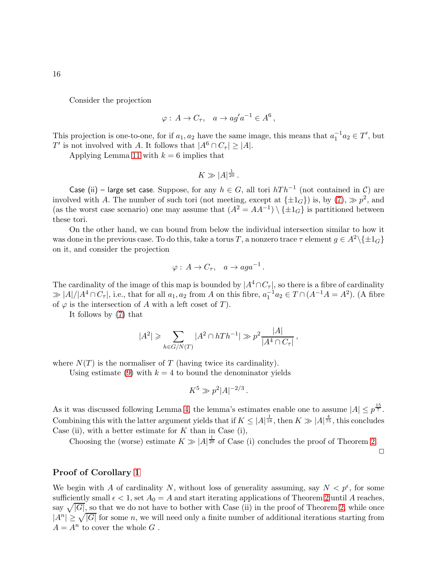Consider the projection

$$
\varphi: A \to C_{\tau}, \quad a \to a g' a^{-1} \in A^6,
$$

This projection is one-to-one, for if  $a_1, a_2$  have the same image, this means that  $a_1^{-1}a_2 \in T'$ , but T' is not involved with A. It follows that  $|A^6 \cap C_{\tau}| \ge |A|$ .

Applying Lemma [11](#page-12-0) with  $k = 6$  implies that

$$
K \gg |A|^{\frac{1}{20}}.
$$

Case (ii) – large set case. Suppose, for any  $h \in G$ , all tori  $hTh^{-1}$  (not contained in  $\mathcal{C}$ ) are involved with A. The number of such tori (not meeting, except at  $\{\pm 1_G\}$ ) is, by  $(7)$ ,  $\gg p^2$ , and (as the worst case scenario) one may assume that  $(A^2 = AA^{-1}) \setminus {\pm 1_G}$  is partitioned between these tori.

On the other hand, we can bound from below the individual intersection similar to how it was done in the previous case. To do this, take a torus T, a nonzero trace  $\tau$  element  $g \in A^2 \setminus \{\pm 1_G\}$ on it, and consider the projection

$$
\varphi: A \to C_{\tau}, \quad a \to aga^{-1}.
$$

The cardinality of the image of this map is bounded by  $|A^4 \cap C_{\tau}|$ , so there is a fibre of cardinality  $\gg |A|/|A^4 \cap C_7|$ , i.e., that for all  $a_1, a_2$  from A on this fibre,  $a_1^{-1}a_2 \in T \cap (A^{-1}A = A^2)$ . (A fibre of  $\varphi$  is the intersection of A with a left coset of T).

It follows by [\(7\)](#page-9-1) that

$$
|A^2| \geqslant \sum_{h \in G/N(T)} |A^2 \cap hTh^{-1}| \gg p^2 \frac{|A|}{|A^4 \cap C_{\tau}|},
$$

where  $N(T)$  is the normaliser of T (having twice its cardinality).

Using estimate [\(9\)](#page-12-2) with  $k = 4$  to bound the denominator yields

$$
K^5 \gg p^2 |A|^{-2/3}.
$$

As it was discussed following Lemma [4,](#page-10-0) the lemma's estimates enable one to assume  $|A| \leq p^{\frac{15}{7}}$ . Combining this with the latter argument yields that if  $K \leq |A|^{\frac{1}{18}}$ , then  $K \gg |A|^{\frac{4}{75}}$ , this concludes Case (ii), with a better estimate for  $K$  than in Case (i),

Choosing the (worse) estimate  $K \gg |A|^{\frac{1}{20}}$  of Case (i) concludes the proof of Theorem [2.](#page-2-0)

 $\Box$ 

### Proof of Corollary [1](#page-3-2)

We begin with A of cardinality N, without loss of generality assuming, say  $N < p^{\epsilon}$ , for some sufficiently small  $\epsilon < 1$ , set  $A_0 = A$  and start iterating applications of Theorem [2](#page-2-0) until A reaches, say  $\sqrt{|G|}$ , so that we do not have to bother with Case (ii) in the proof of Theorem [2,](#page-2-0) while once  $|A^n| \geq \sqrt{|G|}$  for some n, we will need only a finite number of additional iterations starting from  $A = A^n$  to cover the whole G.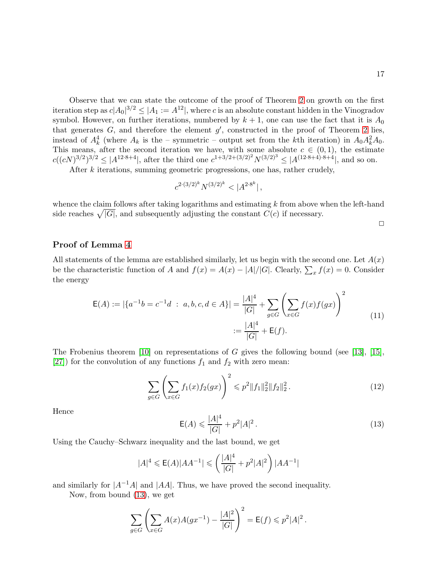Observe that we can state the outcome of the proof of Theorem [2](#page-2-0) on growth on the first iteration step as  $c|A_0|^{3/2} \leq |A_1 := A^{12}|$ , where c is an absolute constant hidden in the Vinogradov symbol. However, on further iterations, numbered by  $k + 1$ , one can use the fact that it is  $A_0$ that generates  $G$ , and therefore the element  $g'$ , constructed in the proof of Theorem [2](#page-2-0) lies, instead of  $A_k^4$  (where  $A_k$  is the – symmetric – output set from the kth iteration) in  $A_0 A_k^2 A_0$ . This means, after the second iteration we have, with some absolute  $c \in (0,1)$ , the estimate  $c((cN)^{3/2})^{3/2} \leq |A^{12\cdot 8+4}|$ , after the third one  $c^{1+3/2+(3/2)^2}N^{(3/2)^3} \leq |A^{(12\cdot 8+4)\cdot 8+4}|$ , and so on.

After k iterations, summing geometric progressions, one has, rather crudely,

$$
c^{2 \cdot (3/2)^k} N^{(3/2)^k} < |A^{2 \cdot 8^k}| \,,
$$

whence the claim follows after taking logarithms and estimating  $k$  from above when the left-hand side reaches  $\sqrt{|G|}$ , and subsequently adjusting the constant  $C(c)$  if necessary.

 $\Box$ 

### Proof of Lemma [4](#page-10-0)

All statements of the lemma are established similarly, let us begin with the second one. Let  $A(x)$ be the characteristic function of A and  $f(x) = A(x) - |A|/|G|$ . Clearly,  $\sum_x f(x) = 0$ . Consider the energy

<span id="page-16-1"></span>
$$
\mathsf{E}(A) := |\{a^{-1}b = c^{-1}d \; : \; a, b, c, d \in A\}| = \frac{|A|^4}{|G|} + \sum_{g \in G} \left(\sum_{x \in G} f(x)f(gx)\right)^2
$$
\n
$$
:= \frac{|A|^4}{|G|} + \mathsf{E}(f).
$$
\n(11)

The Frobenius theorem  $[10]$  on representations of G gives the following bound (see [\[13\]](#page-40-15), [\[15\]](#page-40-16), [\[27\]](#page-41-12)) for the convolution of any functions  $f_1$  and  $f_2$  with zero mean:

$$
\sum_{g \in G} \left( \sum_{x \in G} f_1(x) f_2(gx) \right)^2 \leqslant p^2 \|f_1\|_2^2 \|f_2\|_2^2. \tag{12}
$$

Hence

<span id="page-16-0"></span>
$$
\mathsf{E}(A) \leqslant \frac{|A|^4}{|G|} + p^2 |A|^2. \tag{13}
$$

Using the Cauchy–Schwarz inequality and the last bound, we get

$$
|A|^4 \leqslant \mathsf{E}(A)|AA^{-1}| \leqslant \left(\frac{|A|^4}{|G|} + p^2|A|^2\right)|AA^{-1}|
$$

and similarly for  $|A^{-1}A|$  and  $|AA|$ . Thus, we have proved the second inequality.

Now, from bound [\(13\)](#page-16-0), we get

$$
\sum_{g \in G} \left( \sum_{x \in G} A(x) A(gx^{-1}) - \frac{|A|^2}{|G|} \right)^2 = \mathsf{E}(f) \leqslant p^2 |A|^2.
$$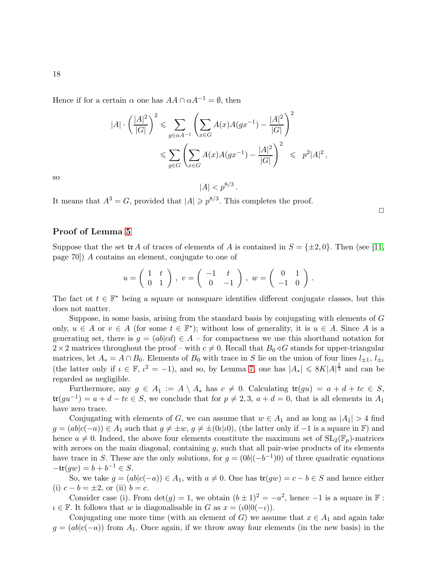Hence if for a certain  $\alpha$  one has  $AA \cap \alpha A^{-1} = \emptyset$ , then

$$
|A| \cdot \left(\frac{|A|^2}{|G|}\right)^2 \leq \sum_{g \in \alpha A^{-1}} \left(\sum_{x \in G} A(x)A(gx^{-1}) - \frac{|A|^2}{|G|}\right)^2
$$
  

$$
\leq \sum_{g \in G} \left(\sum_{x \in G} A(x)A(gx^{-1}) - \frac{|A|^2}{|G|}\right)^2 \leq p^2|A|^2,
$$

 $|A| < p^{8/3}$ .

so

It means that  $A^3 = G$ , provided that  $|A| \geq p^{8/3}$ . This completes the proof.

# $\Box$

# Proof of Lemma [5](#page-11-1)

Suppose that the set  ${\rm tr}\, A$  of traces of elements of A is contained in  $S = {\pm 2, 0}$ . Then (see [\[11,](#page-40-12) page 70]) A contains an element, conjugate to one of

$$
u = \left(\begin{array}{cc} 1 & t \\ 0 & 1 \end{array}\right), \ v = \left(\begin{array}{cc} -1 & t \\ 0 & -1 \end{array}\right), \ w = \left(\begin{array}{cc} 0 & 1 \\ -1 & 0 \end{array}\right).
$$

The fact ot  $t \in \mathbb{F}^*$  being a square or nonsquare identifies different conjugate classes, but this does not matter.

Suppose, in some basis, arising from the standard basis by conjugating with elements of G only,  $u \in A$  or  $v \in A$  (for some  $t \in \mathbb{F}^*$ ); without loss of generality, it is  $u \in A$ . Since A is a generating set, there is  $g = (ab|cd) \in A$  – for compactness we use this shorthand notation for  $2\times 2$  matrices throughout the proof – with  $c \neq 0$ . Recall that  $B_0 \triangleleft G$  stands for upper-triangular matrices, let  $A_* = A \cap B_0$ . Elements of  $B_0$  with trace in S lie on the union of four lines  $l_{\pm 1}$ ,  $l_{\pm t}$ (the latter only if  $\iota \in \mathbb{F}$ ,  $\iota^2 = -1$ ), and so, by Lemma [7,](#page-11-0) one has  $|A_*| \leq 8K|A|^{\frac{1}{3}}$  and can be regarded as negligible.

Furthermore, any  $g \in A_1 := A \setminus A_*$  has  $c \neq 0$ . Calculating  $\operatorname{tr}(gu) = a + d + tc \in S$ ,  $\operatorname{tr}(gu^{-1}) = a + d - tc \in S$ , we conclude that for  $p \neq 2, 3, a + d = 0$ , that is all elements in  $A_1$ have zero trace.

Conjugating with elements of G, we can assume that  $w \in A_1$  and as long as  $|A_1| > 4$  find  $g = (ab|c(-a)) \in A_1$  such that  $g \neq \pm w$ ,  $g \neq \pm (0|\iota|a)$ , (the latter only if  $-1$  is a square in F) and hence  $a \neq 0$ . Indeed, the above four elements constitute the maximum set of  $SL_2(\mathbb{F}_p)$ -matrices with zeroes on the main diagonal, containing  $g$ , such that all pair-wise products of its elements have trace in S. These are the only solutions, for  $g = (0b|(-b^{-1})0)$  of three quadratic equations  $-\mathfrak{tr}(gw) = b + b^{-1} \in S.$ 

So, we take  $g = (ab|c(-a)) \in A_1$ , with  $a \neq 0$ . One has  $\text{tr}(gw) = c - b \in S$  and hence either (i)  $c - b = \pm 2$ , or (ii)  $b = c$ .

Consider case (i). From  $\det(g) = 1$ , we obtain  $(b \pm 1)^2 = -a^2$ , hence  $-1$  is a square in  $\mathbb{F}$ :  $\iota \in \mathbb{F}$ . It follows that w is diagonalisable in G as  $x = (\iota 0|0(-\iota))$ .

Conjugating one more time (with an element of G) we assume that  $x \in A_1$  and again take  $g = (ab|c(-a))$  from  $A_1$ . Once again, if we throw away four elements (in the new basis) in the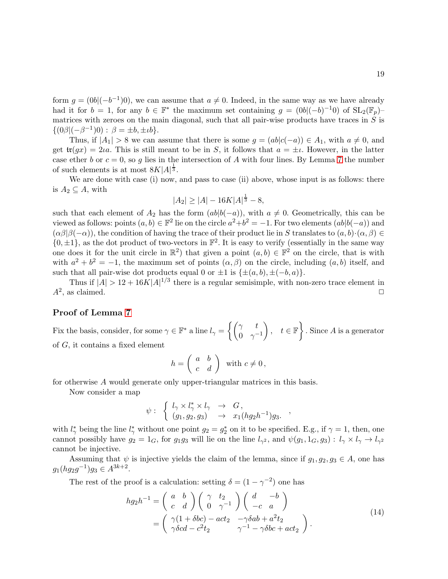form  $g = (0b|(-b^{-1})0)$ , we can assume that  $a \neq 0$ . Indeed, in the same way as we have already had it for  $b = 1$ , for any  $b \in \mathbb{F}^*$  the maximum set containing  $g = (0b|(-b)^{-1}0)$  of  $SL_2(\mathbb{F}_p)$ matrices with zeroes on the main diagonal, such that all pair-wise products have traces in  $S$  is  $\{(0\beta|(-\beta^{-1})0): \beta = \pm b, \pm \iota b\}.$ 

Thus, if  $|A_1| > 8$  we can assume that there is some  $g = (ab|c(-a)) \in A_1$ , with  $a \neq 0$ , and get  $\mathfrak{tr}(gx) = 2\iota a$ . This is still meant to be in S, it follows that  $a = \pm \iota$ . However, in the latter case ether b or  $c = 0$ , so q lies in the intersection of A with four lines. By Lemma [7](#page-11-0) the number of such elements is at most  $8K|A|^{\frac{1}{3}}$ .

We are done with case (i) now, and pass to case (ii) above, whose input is as follows: there is  $A_2 \subseteq A$ , with

$$
|A_2| \ge |A| - 16K|A|^{\frac{1}{3}} - 8,
$$

such that each element of  $A_2$  has the form  $(ab|b(-a))$ , with  $a \neq 0$ . Geometrically, this can be viewed as follows: points  $(a, b) \in \mathbb{F}^2$  lie on the circle  $a^2 + b^2 = -1$ . For two elements  $(ab|b(-a))$  and  $(\alpha\beta|\beta(-\alpha))$ , the condition of having the trace of their product lie in S translates to  $(a, b) \cdot (\alpha, \beta) \in$  $\{0, \pm 1\}$ , as the dot product of two-vectors in  $\mathbb{F}^2$ . It is easy to verify (essentially in the same way one does it for the unit circle in  $\mathbb{R}^2$ ) that given a point  $(a, b) \in \mathbb{F}^2$  on the circle, that is with with  $a^2 + b^2 = -1$ , the maximum set of points  $(\alpha, \beta)$  on the circle, including  $(a, b)$  itself, and such that all pair-wise dot products equal 0 or  $\pm 1$  is  $\{\pm(a, b), \pm(-b, a)\}.$ 

Thus if  $|A| > 12 + 16K|A|^{1/3}$  there is a regular semisimple, with non-zero trace element in  $A^2$ , as claimed.

# Proof of Lemma [7](#page-11-0)

Fix the basis, consider, for some  $\gamma \in \mathbb{F}^*$  a line  $l_{\gamma} = \begin{cases} \begin{pmatrix} \gamma & t \\ 0 & \gamma \end{pmatrix}$  $0 \gamma^{-1}$  $\Big\}, t \in \mathbb{F} \Big\}$ . Since A is a generator of G, it contains a fixed element

$$
h = \left(\begin{array}{cc} a & b \\ c & d \end{array}\right) \text{ with } c \neq 0,
$$

for otherwise A would generate only upper-triangular matrices in this basis.

Now consider a map

$$
\psi: \begin{array}{lcl} \left\{ \begin{array}{lcl} l_\gamma \times l_\gamma^* \times l_\gamma & \to & G, \\ (g_1,g_2,g_3) & \to & x_1(hg_2h^{-1})g_3. \end{array} \right. , \end{array}
$$

with  $l^*_{\gamma}$  being the line  $l^*_{\gamma}$  without one point  $g_2 = g_2^*$  on it to be specified. E.g., if  $\gamma = 1$ , then, one cannot possibly have  $g_2 = 1_G$ , for  $g_1g_3$  will lie on the line  $l_{\gamma^2}$ , and  $\psi(g_1, 1_G, g_3) : l_{\gamma} \times l_{\gamma} \to l_{\gamma^2}$ cannot be injective.

Assuming that  $\psi$  is injective yields the claim of the lemma, since if  $g_1, g_2, g_3 \in A$ , one has  $g_1(hg_2g^{-1})g_3 \in A^{3k+2}.$ 

The rest of the proof is a calculation: setting  $\delta = (1 - \gamma^{-2})$  one has

$$
hg_2h^{-1} = \begin{pmatrix} a & b \\ c & d \end{pmatrix} \begin{pmatrix} \gamma & t_2 \\ 0 & \gamma^{-1} \end{pmatrix} \begin{pmatrix} d & -b \\ -c & a \end{pmatrix}
$$
  
= 
$$
\begin{pmatrix} \gamma(1+\delta bc) - act_2 & -\gamma\delta ab + a^2t_2 \\ \gamma\delta cd - c^2t_2 & \gamma^{-1} - \gamma\delta bc + act_2 \end{pmatrix}.
$$
 (14)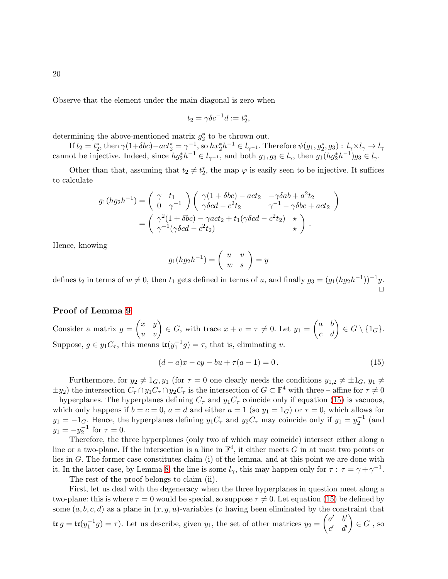Observe that the element under the main diagonal is zero when

$$
t_2 = \gamma \delta c^{-1} d := t_2^*,
$$

determining the above-mentioned matrix  $g_2^*$  to be thrown out.

If  $t_2 = t_2^*$ , then  $\gamma(1+\delta bc) - act_2^* = \gamma^{-1}$ , so  $hx_2^*h^{-1} \in l_{\gamma^{-1}}$ . Therefore  $\psi(g_1, g_2^*, g_3) : l_{\gamma} \times l_{\gamma} \to l_{\gamma}$ cannot be injective. Indeed, since  $hg_2^*h^{-1} \in l_{\gamma^{-1}}$ , and both  $g_1, g_3 \in l_{\gamma}$ , then  $g_1(hg_2^*h^{-1})g_3 \in l_{\gamma}$ .

Other than that, assuming that  $t_2 \neq t_2^*$ , the map  $\varphi$  is easily seen to be injective. It suffices to calculate

$$
g_1(hg_2h^{-1}) = \begin{pmatrix} \gamma & t_1 \\ 0 & \gamma^{-1} \end{pmatrix} \begin{pmatrix} \gamma(1+\delta bc) - act_2 & -\gamma\delta ab + a^2t_2 \\ \gamma\delta cd - c^2t_2 & \gamma^{-1} - \gamma\delta bc + act_2 \end{pmatrix}
$$
  
= 
$$
\begin{pmatrix} \gamma^2(1+\delta bc) - \gamma act_2 + t_1(\gamma\delta cd - c^2t_2) & \star \\ \gamma^{-1}(\gamma\delta cd - c^2t_2) & \star \end{pmatrix}.
$$

Hence, knowing

$$
g_1(hg_2h^{-1}) = \left(\begin{array}{cc} u & v \\ w & s \end{array}\right) = y
$$

defines  $t_2$  in terms of  $w \neq 0$ , then  $t_1$  gets defined in terms of u, and finally  $g_3 = (g_1(hg_2h^{-1}))^{-1}y$ .  $\Box$ 

# Proof of Lemma [9](#page-12-1)

Consider a matrix  $g = \begin{pmatrix} x & y \ u & v \end{pmatrix} \in G$ , with trace  $x + v = \tau \neq 0$ . Let  $y_1 = \begin{pmatrix} a & b \ c & d \end{pmatrix} \in G \setminus \{1_G\}$ . Suppose,  $g \in y_1 C_\tau$ , this means  $\mathfrak{tr}(y_1^{-1}g) = \tau$ , that is, eliminating v.

<span id="page-19-0"></span>
$$
(d-a)x - cy - bu + \tau(a-1) = 0.
$$
 (15)

Furthermore, for  $y_2 \neq 1_G, y_1$  (for  $\tau = 0$  one clearly needs the conditions  $y_{1,2} \neq \pm 1_G, y_1 \neq \pm 1_G$  $\pm y_2$ ) the intersection  $C_\tau \cap y_1 C_\tau \cap y_2 C_\tau$  is the intersection of  $G \subset \mathbb{F}^4$  with three – affine for  $\tau \neq 0$ – hyperplanes. The hyperplanes defining  $C_{\tau}$  and  $y_1C_{\tau}$  coincide only if equation [\(15\)](#page-19-0) is vacuous, which only happens if  $b = c = 0$ ,  $a = d$  and either  $a = 1$  (so  $y_1 = 1_G$ ) or  $\tau = 0$ , which allows for  $y_1 = -1_G$ . Hence, the hyperplanes defining  $y_1C_\tau$  and  $y_2C_\tau$  may coincide only if  $y_1 = y_2^{-1}$  (and  $y_1 = -y_2^{-1}$  for  $\tau = 0$ .

Therefore, the three hyperplanes (only two of which may coincide) intersect either along a line or a two-plane. If the intersection is a line in  $\mathbb{F}^4$ , it either meets G in at most two points or lies in G. The former case constitutes claim (i) of the lemma, and at this point we are done with it. In the latter case, by Lemma [8,](#page-11-2) the line is some  $l_{\gamma}$ , this may happen only for  $\tau : \tau = \gamma + \gamma^{-1}$ .

The rest of the proof belongs to claim (ii).

First, let us deal with the degeneracy when the three hyperplanes in question meet along a two-plane: this is where  $\tau = 0$  would be special, so suppose  $\tau \neq 0$ . Let equation [\(15\)](#page-19-0) be defined by some  $(a, b, c, d)$  as a plane in  $(x, y, u)$ -variables (v having been eliminated by the constraint that  $\mathfrak{tr}\,g = \mathfrak{tr}(y_1^{-1}g) = \tau$ ). Let us describe, given  $y_1$ , the set of other matrices  $y_2 = \begin{pmatrix} a' & b' \\ c' & d' \end{pmatrix}$  $c'$   $d'$  $\Big) \in G$  , so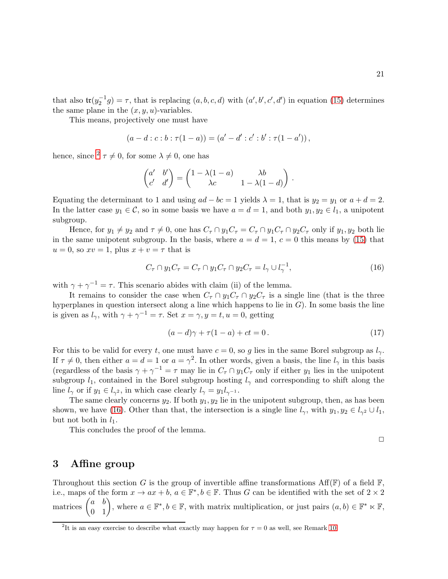$\Box$ 

that also  $tr(y_2^{-1}g) = \tau$ , that is replacing  $(a, b, c, d)$  with  $(a', b', c', d')$  in equation [\(15\)](#page-19-0) determines the same plane in the  $(x, y, u)$ -variables.

This means, projectively one must have

$$
(a-d:c:b:\tau(1-a))=(a'-d':c':b':\tau(1-a'))\,,
$$

hence, since  $2 \tau \neq 0$  $2 \tau \neq 0$ , for some  $\lambda \neq 0$ , one has

$$
\begin{pmatrix} a' & b' \\ c' & d' \end{pmatrix} = \begin{pmatrix} 1 - \lambda(1 - a) & \lambda b \\ \lambda c & 1 - \lambda(1 - d) \end{pmatrix}.
$$

Equating the determinant to 1 and using  $ad - bc = 1$  yields  $\lambda = 1$ , that is  $y_2 = y_1$  or  $a + d = 2$ . In the latter case  $y_1 \in \mathcal{C}$ , so in some basis we have  $a = d = 1$ , and both  $y_1, y_2 \in l_1$ , a unipotent subgroup.

Hence, for  $y_1 \neq y_2$  and  $\tau \neq 0$ , one has  $C_{\tau} \cap y_1C_{\tau} = C_{\tau} \cap y_1C_{\tau} \cap y_2C_{\tau}$  only if  $y_1, y_2$  both lie in the same unipotent subgroup. In the basis, where  $a = d = 1, c = 0$  this means by [\(15\)](#page-19-0) that  $u = 0$ , so  $xv = 1$ , plus  $x + v = \tau$  that is

<span id="page-20-1"></span>
$$
C_{\tau} \cap y_1 C_{\tau} = C_{\tau} \cap y_1 C_{\tau} \cap y_2 C_{\tau} = l_{\gamma} \cup l_{\gamma}^{-1},\tag{16}
$$

with  $\gamma + \gamma^{-1} = \tau$ . This scenario abides with claim (ii) of the lemma.

It remains to consider the case when  $C_{\tau} \cap y_1 C_{\tau} \cap y_2 C_{\tau}$  is a single line (that is the three hyperplanes in question intersect along a line which happens to lie in  $G$ ). In some basis the line is given as  $l_{\gamma}$ , with  $\gamma + \gamma^{-1} = \tau$ . Set  $x = \gamma, y = t, u = 0$ , getting

$$
(a-d)\gamma + \tau(1-a) + ct = 0.
$$
\n<sup>(17)</sup>

For this to be valid for every t, one must have  $c = 0$ , so g lies in the same Borel subgroup as  $l_{\gamma}$ . If  $\tau \neq 0$ , then either  $a = d = 1$  or  $a = \gamma^2$ . In other words, given a basis, the line  $l_{\gamma}$  in this basis (regardless of the basis  $\gamma + \gamma^{-1} = \tau$  may lie in  $C_{\tau} \cap y_1 C_{\tau}$  only if either  $y_1$  lies in the unipotent subgroup  $l_1$ , contained in the Borel subgroup hosting  $l_{\gamma}$  and corresponding to shift along the line  $l_{\gamma}$  or if  $y_1 \in l_{\gamma^2}$ , in which case clearly  $l_{\gamma} = y_1 l_{\gamma^{-1}}$ .

The same clearly concerns  $y_2$ . If both  $y_1, y_2$  lie in the unipotent subgroup, then, as has been shown, we have [\(16\)](#page-20-1). Other than that, the intersection is a single line  $l_{\gamma}$ , with  $y_1, y_2 \in l_{\gamma^2} \cup l_1$ , but not both in  $l_1$ .

This concludes the proof of the lemma.

# 3 Affine group

Throughout this section G is the group of invertible affine transformations  $\text{Aff}(\mathbb{F})$  of a field  $\mathbb{F}$ , i.e., maps of the form  $x \to ax + b$ ,  $a \in \mathbb{F}^*, b \in \mathbb{F}$ . Thus G can be identified with the set of  $2 \times 2$ matrices  $\begin{pmatrix} a & b \\ 0 & 1 \end{pmatrix}$ , where  $a \in \mathbb{F}^*, b \in \mathbb{F}$ , with matrix multiplication, or just pairs  $(a, b) \in \mathbb{F}^* \ltimes \mathbb{F}$ ,

<span id="page-20-0"></span><sup>&</sup>lt;sup>2</sup>It is an easy exercise to describe what exactly may happen for  $\tau = 0$  as well, see Remark [10.](#page-12-3)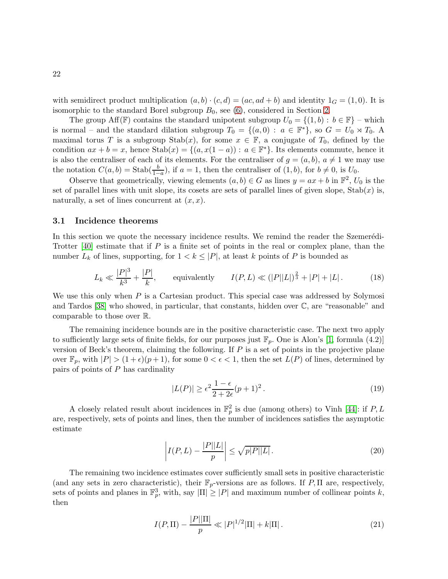with semidirect product multiplication  $(a, b) \cdot (c, d) = (ac, ad + b)$  and identity  $1_G = (1, 0)$ . It is isomorphic to the standard Borel subgroup  $B_0$ , see [\(6\)](#page-9-2), considered in Section [2.](#page-8-1)

The group Aff(F) contains the standard unipotent subgroup  $U_0 = \{(1, b): b \in \mathbb{F}\}\$  – which is normal – and the standard dilation subgroup  $T_0 = \{(a, 0) : a \in \mathbb{F}^*\}$ , so  $G = U_0 \rtimes T_0$ . A maximal torus T is a subgroup  $\text{Stab}(x)$ , for some  $x \in \mathbb{F}$ , a conjugate of  $T_0$ , defined by the condition  $ax + b = x$ , hence  $\text{Stab}(x) = \{(a, x(1 - a)) : a \in \mathbb{F}^*\}$ . Its elements commute, hence it is also the centraliser of each of its elements. For the centraliser of  $g = (a, b), a \neq 1$  we may use the notation  $C(a, b) = \text{Stab}(\frac{b}{1-a})$ , if  $a = 1$ , then the centraliser of  $(1, b)$ , for  $b \neq 0$ , is  $U_0$ .

Observe that geometrically, viewing elements  $(a, b) \in G$  as lines  $y = ax + b$  in  $\mathbb{F}^2$ ,  $U_0$  is the set of parallel lines with unit slope, its cosets are sets of parallel lines of given slope,  $\text{Stab}(x)$  is, naturally, a set of lines concurrent at  $(x, x)$ .

## <span id="page-21-1"></span>3.1 Incidence theorems

In this section we quote the necessary incidence results. We remind the reader the Szemerédi-Trotter  $[40]$  estimate that if P is a finite set of points in the real or complex plane, than the number  $L_k$  of lines, supporting, for  $1 < k \leq |P|$ , at least k points of P is bounded as

<span id="page-21-4"></span>
$$
L_k \ll \frac{|P|^3}{k^3} + \frac{|P|}{k}, \qquad \text{equivalently} \qquad I(P, L) \ll (|P||L|)^{\frac{2}{3}} + |P| + |L| \,. \tag{18}
$$

We use this only when  $P$  is a Cartesian product. This special case was addressed by Solymosi and Tardos [\[38\]](#page-42-4) who showed, in particular, that constants, hidden over C, are "reasonable" and comparable to those over R.

The remaining incidence bounds are in the positive characteristic case. The next two apply to sufficiently large sets of finite fields, for our purposes just  $\mathbb{F}_p$ . One is Alon's [\[1,](#page-39-3) formula (4.2)] version of Beck's theorem, claiming the following. If  $P$  is a set of points in the projective plane over  $\mathbb{F}_p$ , with  $|P| > (1+\epsilon)(p+1)$ , for some  $0 < \epsilon < 1$ , then the set  $L(P)$  of lines, determined by pairs of points of  $P$  has cardinality

<span id="page-21-3"></span>
$$
|L(P)| \ge \epsilon^2 \frac{1-\epsilon}{2+2\epsilon} (p+1)^2.
$$
\n(19)

A closely related result about incidences in  $\mathbb{F}_p^2$  is due (among others) to Vinh [\[44\]](#page-42-5): if P, L are, respectively, sets of points and lines, then the number of incidences satisfies the asymptotic estimate

<span id="page-21-2"></span>
$$
\left| I(P, L) - \frac{|P||L|}{p} \right| \le \sqrt{p|P||L|}.
$$
\n(20)

The remaining two incidence estimates cover sufficiently small sets in positive characteristic (and any sets in zero characteristic), their  $\mathbb{F}_p$ -versions are as follows. If P, II are, respectively, sets of points and planes in  $\mathbb{F}_p^3$ , with, say  $|\Pi| \geq |P|$  and maximum number of collinear points k, then

<span id="page-21-0"></span>
$$
I(P,\Pi) - \frac{|P||\Pi|}{p} \ll |P|^{1/2}|\Pi| + k|\Pi| \,.
$$
 (21)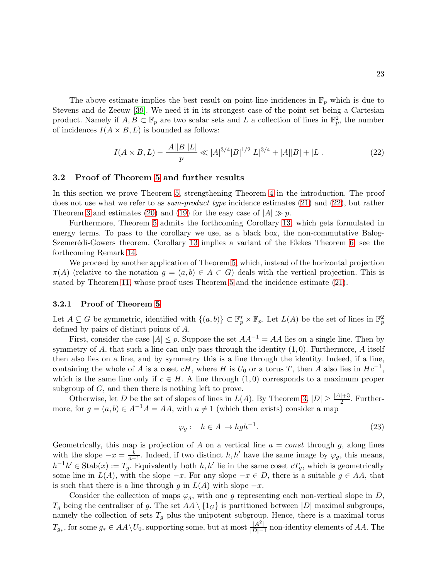The above estimate implies the best result on point-line incidences in  $\mathbb{F}_p$  which is due to Stevens and de Zeeuw [\[39\]](#page-42-0). We need it in its strongest case of the point set being a Cartesian product. Namely if  $A, B \subset \mathbb{F}_p$  are two scalar sets and L a collection of lines in  $\mathbb{F}_p^2$ , the number of incidences  $I(A \times B, L)$  is bounded as follows:

<span id="page-22-0"></span>
$$
I(A \times B, L) - \frac{|A||B||L|}{p} \ll |A|^{3/4} |B|^{1/2} |L|^{3/4} + |A||B| + |L|.
$$
 (22)

#### 3.2 Proof of Theorem [5](#page-4-1) and further results

In this section we prove Theorem [5,](#page-4-1) strengthening Theorem [4](#page-4-0) in the introduction. The proof does not use what we refer to as *sum-product type* incidence estimates [\(21\)](#page-21-0) and [\(22\)](#page-22-0), but rather Theorem [3](#page-3-1) and estimates [\(20\)](#page-21-2) and [\(19\)](#page-21-3) for the easy case of  $|A| \gg p$ .

Furthermore, Theorem [5](#page-4-1) admits the forthcoming Corollary [13,](#page-24-0) which gets formulated in energy terms. To pass to the corollary we use, as a black box, the non-commutative Balog-Szemerédi-Gowers theorem. Corollary [13](#page-24-0) implies a variant of the Elekes Theorem [6,](#page-5-0) see the forthcoming Remark [14.](#page-24-1)

We proceed by another application of Theorem [5,](#page-4-1) which, instead of the horizontal projection  $\pi(A)$  (relative to the notation  $g = (a, b) \in A \subset G$ ) deals with the vertical projection. This is stated by Theorem [11,](#page-25-0) whose proof uses Theorem [5](#page-4-1) and the incidence estimate [\(21\)](#page-21-0).

#### 3.2.1 Proof of Theorem [5](#page-4-1)

Let  $A \subseteq G$  be symmetric, identified with  $\{(a, b)\}\subset \mathbb{F}_p^* \times \mathbb{F}_p$ . Let  $L(A)$  be the set of lines in  $\mathbb{F}_p^2$ defined by pairs of distinct points of A.

First, consider the case  $|A| \leq p$ . Suppose the set  $AA^{-1} = AA$  lies on a single line. Then by symmetry of A, that such a line can only pass through the identity  $(1, 0)$ . Furthermore, A itself then also lies on a line, and by symmetry this is a line through the identity. Indeed, if a line, containing the whole of A is a coset  $cH$ , where H is  $U_0$  or a torus T, then A also lies in  $Hc^{-1}$ , which is the same line only if  $c \in H$ . A line through  $(1,0)$  corresponds to a maximum proper subgroup of G, and then there is nothing left to prove.

Otherwise, let D be the set of slopes of lines in  $L(A)$ . By Theorem [3,](#page-3-1)  $|D| \geq \frac{|A|+3}{2}$ . Furthermore, for  $g = (a, b) \in A^{-1}A = AA$ , with  $a \neq 1$  (which then exists) consider a map

<span id="page-22-1"></span>
$$
\varphi_g: \quad h \in A \to hgh^{-1}.\tag{23}
$$

Geometrically, this map is projection of A on a vertical line  $a = const$  through g, along lines with the slope  $-x=\frac{b}{a-}$  $\frac{b}{a-1}$ . Indeed, if two distinct  $h, h'$  have the same image by  $\varphi_g$ , this means,  $h^{-1}h' \in \text{Stab}(x) := T_g$ . Equivalently both  $h, h'$  lie in the same coset  $cT_g$ , which is geometrically some line in  $L(A)$ , with the slope  $-x$ . For any slope  $-x \in D$ , there is a suitable  $q \in AA$ , that is such that there is a line through g in  $L(A)$  with slope  $-x$ .

Consider the collection of maps  $\varphi_g$ , with one g representing each non-vertical slope in D,  $T_g$  being the centraliser of g. The set  $AA \setminus \{1_G\}$  is partitioned between  $|D|$  maximal subgroups, namely the collection of sets  $T_g$  plus the unipotent subgroup. Hence, there is a maximal torus  $T_{g_*}$ , for some  $g_* \in AA\backslash U_0$ , supporting some, but at most  $\frac{|A^2|}{|D|-1}$  $\frac{|A|}{|D|-1}$  non-identity elements of AA. The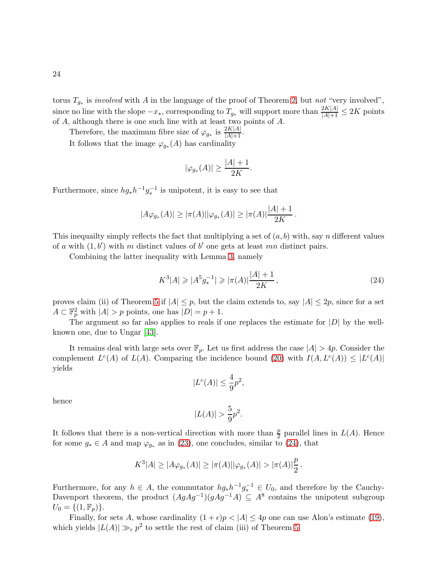24

torus  $T_{g_*}$  is *involved* with A in the language of the proof of Theorem [2,](#page-2-0) but not "very involved", since no line with the slope  $-x_*$ , corresponding to  $T_{g_*}$  will support more than  $\frac{2K|A|}{|A|+1} \le 2K$  points of A, although there is one such line with at least two points of A.

Therefore, the maximum fibre size of  $\varphi_{g_*}$  is  $\frac{2K|A|}{|A|+1}$ .

It follows that the image  $\varphi_{g_*}(A)$  has cardinality

$$
|\varphi_{g_*}(A)| \ge \frac{|A|+1}{2K}.
$$

Furthermore, since  $hg_*h^{-1}g_*^{-1}$  is unipotent, it is easy to see that

$$
|A\varphi_{g_*}(A)| \ge |\pi(A)| |\varphi_{g_*}(A)| \ge |\pi(A)| \frac{|A|+1}{2K}.
$$

This inequality simply reflects the fact that multiplying a set of  $(a, b)$  with, say n different values of a with  $(1, b')$  with m distinct values of b' one gets at least mn distinct pairs.

Combining the latter inequality with Lemma [3,](#page-10-1) namely

<span id="page-23-0"></span>
$$
K^3|A| \geqslant |A^5 g_*^{-1}| \geqslant |\pi(A)| \frac{|A|+1}{2K},\tag{24}
$$

proves claim (ii) of Theorem [5](#page-4-1) if  $|A| \leq p$ , but the claim extends to, say  $|A| \leq 2p$ , since for a set  $A \subset \mathbb{F}_p^2$  with  $|A| > p$  points, one has  $|D| = p + 1$ .

The argument so far also applies to reals if one replaces the estimate for  $|D|$  by the wellknown one, due to Ungar [\[43\]](#page-42-2).

It remains deal with large sets over  $\mathbb{F}_p$ . Let us first address the case  $|A| > 4p$ . Consider the complement  $L^c(A)$  of  $L(A)$ . Comparing the incidence bound [\(20\)](#page-21-2) with  $I(A, L^c(A)) \leq |L^c(A)|$ yields

$$
|L^c(A)| \le \frac{4}{9}p^2,
$$

hence

$$
|L(A)| > \frac{5}{9}p^2.
$$

It follows that there is a non-vertical direction with more than  $\frac{p}{2}$  parallel lines in  $L(A)$ . Hence for some  $g_* \in A$  and map  $\varphi_{g_*}$  as in [\(23\)](#page-22-1), one concludes, similar to [\(24\)](#page-23-0), that

$$
K^3|A| \ge |A\varphi_{g_*}(A)| \ge |\pi(A)| |\varphi_{g_*}(A)| > |\pi(A)|\frac{p}{2}.
$$

Furthermore, for any  $h \in A$ , the commutator  $hg_*h^{-1}g_*^{-1} \in U_0$ , and therefore by the Cauchy-Davenport theorem, the product  $(AgAg^{-1})(gAg^{-1}A) \subseteq A^8$  contains the unipotent subgroup  $U_0 = \{(1, \mathbb{F}_p)\}.$ 

Finally, for sets A, whose cardinality  $(1 + \epsilon)p < |A| \leq 4p$  one can use Alon's estimate [\(19\)](#page-21-3), which yields  $|L(A)| \gg_{\epsilon} p^2$  to settle the rest of claim (iii) of Theorem [5.](#page-4-1)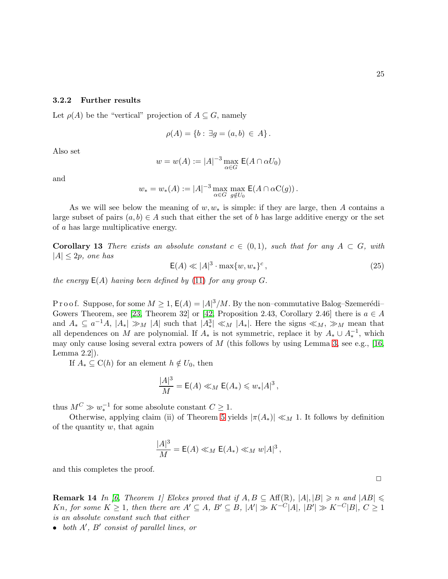Let  $\rho(A)$  be the "vertical" projection of  $A \subseteq G$ , namely

$$
\rho(A) = \{b : \exists g = (a, b) \in A\}.
$$

Also set

$$
w = w(A) := |A|^{-3} \max_{\alpha \in G} \mathsf{E}(A \cap \alpha U_0)
$$

and

$$
w_* = w_*(A) := |A|^{-3} \max_{\alpha \in G} \max_{g \notin U_0} \mathsf{E}(A \cap \alpha \mathsf{C}(g)).
$$

As we will see below the meaning of  $w, w_*$  is simple: if they are large, then A contains a large subset of pairs  $(a, b) \in A$  such that either the set of b has large additive energy or the set of a has large multiplicative energy.

<span id="page-24-0"></span>**Corollary 13** There exists an absolute constant  $c \in (0,1)$ , such that for any  $A \subset G$ , with  $|A| \leq 2p$ , one has

<span id="page-24-2"></span>
$$
\mathsf{E}(A) \ll |A|^3 \cdot \max\{w, w_*\}^c,\tag{25}
$$

the energy  $E(A)$  having been defined by [\(11\)](#page-16-1) for any group G.

P r o o f. Suppose, for some  $M \geq 1$ ,  $\mathsf{E}(A) = |A|^3/M$ . By the non-commutative Balog–Szemerédi– Gowers Theorem, see [\[23,](#page-41-3) Theorem 32] or [\[42,](#page-42-6) Proposition 2.43, Corollary 2.46] there is  $a \in A$ and  $A_* \subseteq a^{-1}A$ ,  $|A_*| \gg_M |A|$  such that  $|A_*^3| \ll_M |A_*|$ . Here the signs  $\ll_M$ ,  $\gg_M$  mean that all dependences on M are polynomial. If  $A_*$  is not symmetric, replace it by  $A_* \cup A_*^{-1}$ , which may only cause losing several extra powers of  $M$  (this follows by using Lemma [3,](#page-10-1) see e.g., [\[16,](#page-40-1) Lemma 2.2]).

If  $A_* \subseteq C(h)$  for an element  $h \notin U_0$ , then

$$
\frac{|A|^3}{M} = \mathsf{E}(A) \ll_M \mathsf{E}(A_*) \leqslant w_*|A|^3,
$$

thus  $M^C \gg w_*^{-1}$  for some absolute constant  $C \geq 1$ .

Otherwise, applying claim (ii) of Theorem [5](#page-4-1) yields  $|\pi(A_*)| \ll_M 1$ . It follows by definition of the quantity  $w$ , that again

$$
\frac{|A|^3}{M} = \mathsf{E}(A) \ll_M \mathsf{E}(A_*) \ll_M w |A|^3,
$$

<span id="page-24-1"></span>and this completes the proof.

**Remark 14** In [\[6,](#page-40-7) Theorem 1] Elekes proved that if  $A, B \subseteq Aff(\mathbb{R}), |A|, |B| \geq n$  and  $|AB| \leq n$ Kn, for some  $K \geq 1$ , then there are  $A' \subseteq A$ ,  $B' \subseteq B$ ,  $|A'| \gg K^{-C}|A|$ ,  $|B'| \gg K^{-C}|B|$ ,  $C \geq 1$ is an absolute constant such that either

• both  $A'$ ,  $B'$  consist of parallel lines, or

 $\Box$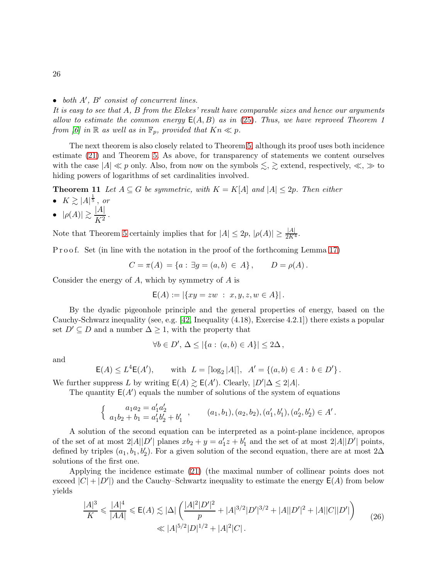# • both  $A'$ ,  $B'$  consist of concurrent lines.

It is easy to see that A, B from the Elekes' result have comparable sizes and hence our arguments allow to estimate the common energy  $E(A, B)$  as in [\(25\)](#page-24-2). Thus, we have reproved Theorem 1 from [\[6\]](#page-40-7) in  $\mathbb R$  as well as in  $\mathbb F_p$ , provided that  $Kn \ll p$ .

The next theorem is also closely related to Theorem [5,](#page-4-1) although its proof uses both incidence estimate [\(21\)](#page-21-0) and Theorem [5.](#page-4-1) As above, for transparency of statements we content ourselves with the case  $|A| \ll p$  only. Also, from now on the symbols  $\lesssim, \geq$  extend, respectively,  $\ll, \gg$  to hiding powers of logarithms of set cardinalities involved.

**Theorem 11** Let  $A \subseteq G$  be symmetric, with  $K = K[A]$  and  $|A| \leq 2p$ . Then either

- $K \gtrsim |A|^{\frac{1}{5}},$  or
- $\bullet \ \ |\rho(A)| \gtrsim \frac{|A|}{K^2}$  $\frac{1}{K^2}$ .

Note that Theorem [5](#page-4-1) certainly implies that for  $|A| \leq 2p$ ,  $|\rho(A)| \geq \frac{|A|}{2K^4}$ .

P r o o f. Set (in line with the notation in the proof of the forthcoming Lemma [17\)](#page-30-0)

<span id="page-25-0"></span>
$$
C = \pi(A) = \{a : \exists g = (a, b) \in A\}, \qquad D = \rho(A).
$$

Consider the energy of  $A$ , which by symmetry of  $A$  is

$$
E(A) := |\{ xy = zw : x, y, z, w \in A \}|.
$$

By the dyadic pigeonhole principle and the general properties of energy, based on the Cauchy-Schwarz inequality (see, e.g. [\[42,](#page-42-6) Inequality (4.18), Exercise 4.2.1]) there exists a popular set  $D' \subseteq D$  and a number  $\Delta \geq 1$ , with the property that

$$
\forall b \in D', \, \Delta \leq |\{a : (a, b) \in A\}| \leq 2\Delta\,,
$$

and

$$
E(A) \le L^4 E(A'),
$$
 with  $L = \lceil \log_2 |A| \rceil$ ,  $A' = \{(a, b) \in A : b \in D'\}$ .

We further suppress L by writing  $E(A) \gtrsim E(A')$ . Clearly,  $|D'| \Delta \leq 2|A|$ .

The quantity  $E(A')$  equals the number of solutions of the system of equations

$$
\begin{cases}\n a_1 a_2 = a'_1 a'_2 \\
a_1 b_2 + b_1 = a'_1 b'_2 + b'_1\n\end{cases},\n\qquad\n(a_1, b_1), (a_2, b_2), (a'_1, b'_1), (a'_2, b'_2) \in A'.
$$

A solution of the second equation can be interpreted as a point-plane incidence, apropos of the set of at most  $2|A||D'|$  planes  $xb_2 + y = a'_1z + b'_1$  and the set of at most  $2|A||D'|$  points, defined by triples  $(a_1, b_1, b'_2)$ . For a given solution of the second equation, there are at most 2 $\Delta$ solutions of the first one.

Applying the incidence estimate [\(21\)](#page-21-0) (the maximal number of collinear points does not exceed  $|C| + |D'|$  and the Cauchy–Schwartz inequality to estimate the energy  $E(A)$  from below yields

<span id="page-25-1"></span>
$$
\frac{|A|^3}{K} \leq \frac{|A|^4}{|AA|} \leq E(A) \leq |\Delta| \left( \frac{|A|^2 |D'|^2}{p} + |A|^{3/2} |D'|^{3/2} + |A||D'|^2 + |A||C||D'|\right)
$$
  

$$
\leq |A|^{5/2} |D|^{1/2} + |A|^2 |C|.
$$
 (26)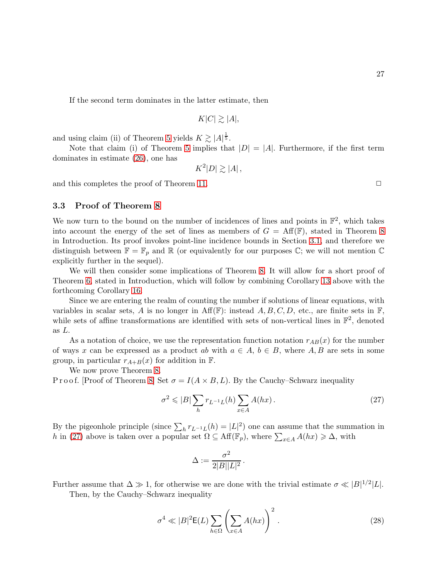If the second term dominates in the latter estimate, then

$$
K|C| \gtrsim |A|,
$$

and using claim (ii) of Theorem [5](#page-4-1) yields  $K \gtrsim |A|^{\frac{1}{5}}$ .

Note that claim (i) of Theorem [5](#page-4-1) implies that  $|D| = |A|$ . Furthermore, if the first term dominates in estimate [\(26\)](#page-25-1), one has

$$
K^2|D| \gtrsim |A|,
$$

and this completes the proof of Theorem [11.](#page-25-0)  $\Box$ 

3.3 Proof of Theorem [8](#page-6-0)

We now turn to the bound on the number of incidences of lines and points in  $\mathbb{F}^2$ , which takes into account the energy of the set of lines as members of  $G = Aff(F)$ , stated in Theorem [8](#page-6-0) in Introduction. Its proof invokes point-line incidence bounds in Section [3.1,](#page-21-1) and therefore we distinguish between  $\mathbb{F} = \mathbb{F}_p$  and  $\mathbb{R}$  (or equivalently for our purposes  $\mathbb{C}$ ; we will not mention  $\mathbb{C}$ explicitly further in the sequel).

We will then consider some implications of Theorem [8.](#page-6-0) It will allow for a short proof of Theorem [6,](#page-5-0) stated in Introduction, which will follow by combining Corollary [13](#page-24-0) above with the forthcoming Corollary [16.](#page-28-0)

Since we are entering the realm of counting the number if solutions of linear equations, with variables in scalar sets, A is no longer in  $\text{Aff}(\mathbb{F})$ : instead A, B, C, D, etc., are finite sets in  $\mathbb{F}$ , while sets of affine transformations are identified with sets of non-vertical lines in  $\mathbb{F}^2$ , denoted as L.

As a notation of choice, we use the representation function notation  $r_{AB}(x)$  for the number of ways x can be expressed as a product ab with  $a \in A$ ,  $b \in B$ , where A, B are sets in some group, in particular  $r_{A+B}(x)$  for addition in F.

We now prove Theorem [8.](#page-6-0)

P r o o f. [Proof of Theorem [8\]](#page-6-0) Set  $\sigma = I(A \times B, L)$ . By the Cauchy–Schwarz inequality

<span id="page-26-0"></span>
$$
\sigma^2 \leqslant |B| \sum_h r_{L^{-1}L}(h) \sum_{x \in A} A(hx). \tag{27}
$$

By the pigeonhole principle (since  $\sum_h r_{L^{-1}L}(h) = |L|^2$ ) one can assume that the summation in h in [\(27\)](#page-26-0) above is taken over a popular set  $\Omega \subseteq \text{Aff}(\mathbb{F}_p)$ , where  $\sum_{x \in A} A(hx) \geq \Delta$ , with

$$
\Delta:=\frac{\sigma^2}{2|B||L|^2}\,.
$$

Further assume that  $\Delta \gg 1$ , for otherwise we are done with the trivial estimate  $\sigma \ll |B|^{1/2} |L|$ .

Then, by the Cauchy–Schwarz inequality

<span id="page-26-1"></span>
$$
\sigma^4 \ll |B|^2 \mathsf{E}(L) \sum_{h \in \Omega} \left( \sum_{x \in A} A(hx) \right)^2.
$$
 (28)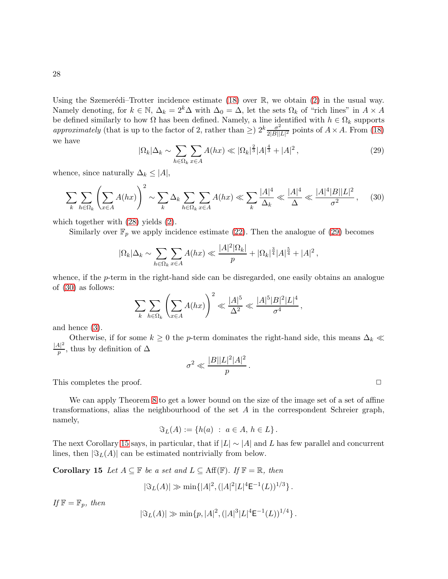Using the Szemerédi–Trotter incidence estimate [\(18\)](#page-21-4) over  $\mathbb{R}$ , we obtain [\(2\)](#page-6-2) in the usual way. Namely denoting, for  $k \in \mathbb{N}$ ,  $\Delta_k = 2^k \Delta$  with  $\Delta_0 = \Delta$ , let the sets  $\Omega_k$  of "rich lines" in  $A \times A$ be defined similarly to how  $\Omega$  has been defined. Namely, a line identified with  $h \in \Omega_k$  supports approximately (that is up to the factor of 2, rather than  $\geq$ )  $2^k \frac{\sigma^2}{2|B||}$  $\frac{\sigma^2}{2|B||L|^2}$  points of  $A \times A$ . From [\(18\)](#page-21-4) we have

<span id="page-27-0"></span>
$$
|\Omega_k|\Delta_k \sim \sum_{h \in \Omega_k} \sum_{x \in A} A(hx) \ll |\Omega_k|^{\frac{2}{3}} |A|^{\frac{4}{3}} + |A|^2 \,,\tag{29}
$$

whence, since naturally  $\Delta_k \leq |A|$ ,

<span id="page-27-1"></span>
$$
\sum_{k} \sum_{h \in \Omega_k} \left( \sum_{x \in A} A(hx) \right)^2 \sim \sum_{k} \Delta_k \sum_{h \in \Omega_k} \sum_{x \in A} A(hx) \ll \sum_{k} \frac{|A|^4}{\Delta_k} \ll \frac{|A|^4 |B||L|^2}{\sigma^2}, \quad (30)
$$

which together with [\(28\)](#page-26-1) yields [\(2\)](#page-6-2).

Similarly over  $\mathbb{F}_p$  we apply incidence estimate [\(22\)](#page-22-0). Then the analogue of [\(29\)](#page-27-0) becomes

$$
|\Omega_k|\Delta_k \sim \sum_{h \in \Omega_k} \sum_{x \in A} A(hx) \ll \frac{|A|^2 |\Omega_k|}{p} + |\Omega_k|^{\frac{3}{4}} |A|^{\frac{5}{4}} + |A|^2,
$$

whence, if the *p*-term in the right-hand side can be disregarded, one easily obtains an analogue of [\(30\)](#page-27-1) as follows:

$$
\sum_{k} \sum_{h \in \Omega_k} \left( \sum_{x \in A} A(hx) \right)^2 \ll \frac{|A|^5}{\Delta^2} \ll \frac{|A|^5 |B|^2 |L|^4}{\sigma^4},
$$

and hence [\(3\)](#page-6-0).

Otherwise, if for some  $k \geq 0$  the *p*-term dominates the right-hand side, this means  $\Delta_k \ll$  $|A|^2$  $\frac{4}{p}$ , thus by definition of  $\Delta$ 

$$
\sigma^2 \ll \frac{|B||L|^2|A|^2}{p}.
$$

This completes the proof.  $\Box$ 

We can apply Theorem [8](#page-6-0) to get a lower bound on the size of the image set of a set of affine transformations, alias the neighbourhood of the set  $A$  in the correspondent Schreier graph, namely,

$$
\mathfrak{S}_L(A) := \{ h(a) : a \in A, h \in L \}.
$$

<span id="page-27-2"></span>The next Corollary [15](#page-27-2) says, in particular, that if  $|L| \sim |A|$  and L has few parallel and concurrent lines, then  $|\Im_L(A)|$  can be estimated nontrivially from below.

Corollary 15 Let  $A \subseteq \mathbb{F}$  be a set and  $L \subseteq Aff(\mathbb{F})$ . If  $\mathbb{F} = \mathbb{R}$ , then

$$
|\Im_L(A)| \gg \min\{|A|^2, (|A|^2|L|^4 \mathsf{E}^{-1}(L))^{1/3}\}.
$$

If  $\mathbb{F} = \mathbb{F}_p$ , then

$$
|\Im_L(A)| \gg \min\{p, |A|^2, (|A|^3|L|^4 \mathsf{E}^{-1}(L))^{1/4}\}.
$$

28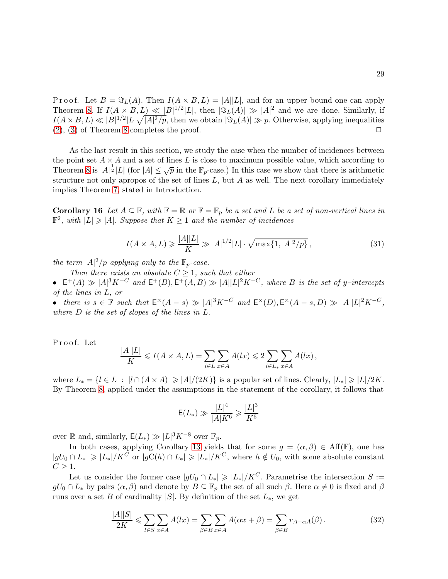P r o o f. Let  $B = \Im_L(A)$ . Then  $I(A \times B, L) = |A||L|$ , and for an upper bound one can apply Theorem [8.](#page-6-0) If  $I(A \times B, L) \ll |B|^{1/2} |L|$ , then  $|\Im_L(A)| \gg |A|^2$  and we are done. Similarly, if  $I(A \times B, L) \ll |B|^{1/2} |L| \sqrt{|A|^2/p}$ , then we obtain  $|\Im_L(A)| \gg p$ . Otherwise, applying inequalities  $(2), (3)$  $(2), (3)$  $(2), (3)$  of Theorem [8](#page-6-0) completes the proof.  $\Box$ 

As the last result in this section, we study the case when the number of incidences between the point set  $A \times A$  and a set of lines L is close to maximum possible value, which according to Theorem [8](#page-6-0) is  $|A|^{\frac{1}{2}}|L|$  (for  $|A| \leq \sqrt{p}$  in the  $\mathbb{F}_p$ -case.) In this case we show that there is arithmetic structure not only apropos of the set of lines  $L$ , but  $A$  as well. The next corollary immediately implies Theorem [7,](#page-5-1) stated in Introduction.

Corollary 16 Let  $A \subseteq \mathbb{F}$ , with  $\mathbb{F} = \mathbb{R}$  or  $\mathbb{F} = \mathbb{F}_p$  be a set and L be a set of non-vertical lines in  $\mathbb{F}^2$ , with  $|L| \geq |A|$ . Suppose that  $K \geq 1$  and the number of incidences

<span id="page-28-0"></span>
$$
I(A \times A, L) \geq \frac{|A||L|}{K} \gg |A|^{1/2}|L| \cdot \sqrt{\max\{1, |A|^2/p\}},\tag{31}
$$

the term  $|A|^2/p$  applying only to the  $\mathbb{F}_p$ -case.

Then there exists an absolute  $C \geq 1$ , such that either

•  $E^+(A) \gg |A|^3 K^{-C}$  and  $E^+(B), E^+(A, B) \gg |A||L|^2 K^{-C}$ , where B is the set of y-intercepts of the lines in L, or

• there is  $s \in \mathbb{F}$  such that  $\mathsf{E}^{\times}(A-s) \gg |A|^3 K^{-C}$  and  $\mathsf{E}^{\times}(D), \mathsf{E}^{\times}(A-s,D) \gg |A||L|^2 K^{-C}$ , where D is the set of slopes of the lines in L.

Proof. Let

$$
\frac{|A||L|}{K} \leqslant I(A \times A, L) = \sum_{l \in L} \sum_{x \in A} A(lx) \leqslant 2 \sum_{l \in L_*} \sum_{x \in A} A(lx),
$$

where  $L_* = \{l \in L : |l \cap (A \times A)| \geq |A|/(2K)\}\$ is a popular set of lines. Clearly,  $|L_*| \geq |L|/2K$ . By Theorem [8,](#page-6-0) applied under the assumptions in the statement of the corollary, it follows that

$$
E(L_*) \gg \frac{|L|^4}{|A|K^6} \ge \frac{|L|^3}{K^6}
$$

over  $\mathbb R$  and, similarly,  $\mathsf E(L_*) \gg |L|^3 K^{-8}$  over  $\mathbb F_p$ .

In both cases, applying Corollary [13](#page-24-0) yields that for some  $g = (\alpha, \beta) \in Aff(\mathbb{F})$ , one has  $|gU_0 \cap L_*| \geqslant |L_*|/K^C$  or  $|gC(h) \cap L_*| \geqslant |L_*|/K^C$ , where  $h \notin U_0$ , with some absolute constant  $C \geq 1$ .

Let us consider the former case  $|gU_0 \cap L_*| \geq |L_*|/K^C$ . Parametrise the intersection  $S :=$  $gU_0 \cap L_*$  by pairs  $(\alpha, \beta)$  and denote by  $B \subseteq \mathbb{F}_p$  the set of all such  $\beta$ . Here  $\alpha \neq 0$  is fixed and  $\beta$ runs over a set B of cardinality |S|. By definition of the set  $L_*$ , we get

<span id="page-28-1"></span>
$$
\frac{|A||S|}{2K} \leqslant \sum_{l \in S} \sum_{x \in A} A(lx) = \sum_{\beta \in B} \sum_{x \in A} A(\alpha x + \beta) = \sum_{\beta \in B} r_{A-\alpha A}(\beta). \tag{32}
$$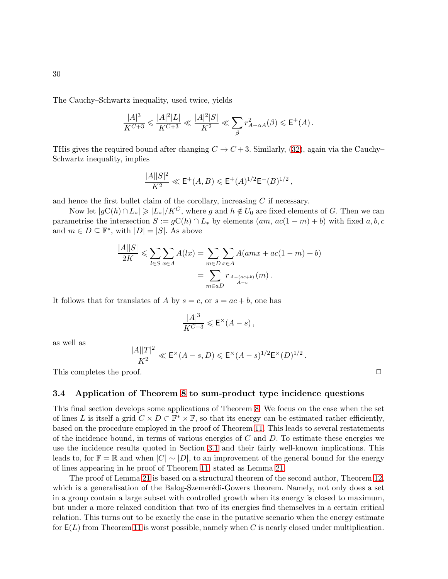The Cauchy–Schwartz inequality, used twice, yields

$$
\frac{|A|^3}{K^{C+3}} \leqslant \frac{|A|^2 |L|}{K^{C+3}} \ll \frac{|A|^2 |S|}{K^2} \ll \sum_{\beta} r_{A-\alpha A}^2(\beta) \leqslant E^+(A) \, .
$$

THis gives the required bound after changing  $C \to C+3$ . Similarly, [\(32\)](#page-28-1), again via the Cauchy– Schwartz inequality, implies

$$
\frac{|A||S|^2}{K^2} \ll \mathsf{E}^+(A, B) \leq \mathsf{E}^+(A)^{1/2} \mathsf{E}^+(B)^{1/2} \,,
$$

and hence the first bullet claim of the corollary, increasing  $C$  if necessary.

Now let  $|gC(h) \cap L_*| \geq |L_*|/K^C$ , where g and  $h \notin U_0$  are fixed elements of G. Then we can parametrise the intersection  $S := gC(h) \cap L_*$  by elements  $(am, ac(1-m)+b)$  with fixed  $a, b, c$ and  $m \in D \subseteq \mathbb{F}^*$ , with  $|D| = |S|$ . As above

$$
\frac{|A||S|}{2K} \le \sum_{l \in S} \sum_{x \in A} A(lx) = \sum_{m \in D} \sum_{x \in A} A(amx + ac(1 - m) + b)
$$

$$
= \sum_{m \in aD} r_{\frac{A - (ac + b)}{A - c}}(m).
$$

It follows that for translates of A by  $s = c$ , or  $s = ac + b$ , one has

$$
\frac{|A|^3}{K^{C+3}} \leqslant \mathsf{E}^\times (A-s)\,,
$$

as well as

$$
\frac{|A||T|^2}{K^2} \ll \mathsf{E}^\times (A-s, D) \leqslant \mathsf{E}^\times (A-s)^{1/2} \mathsf{E}^\times (D)^{1/2} \, .
$$

This completes the proof.  $\Box$ 

### <span id="page-29-0"></span>3.4 Application of Theorem [8](#page-6-0) to sum-product type incidence questions

This final section develops some applications of Theorem [8.](#page-6-0) We focus on the case when the set of lines L is itself a grid  $C \times D \subset \mathbb{F}^* \times \mathbb{F}$ , so that its energy can be estimated rather efficiently, based on the procedure employed in the proof of Theorem [11.](#page-25-0) This leads to several restatements of the incidence bound, in terms of various energies of  $C$  and  $D$ . To estimate these energies we use the incidence results quoted in Section [3.1](#page-21-1) and their fairly well-known implications. This leads to, for  $\mathbb{F} = \mathbb{R}$  and when  $|C| \sim |D|$ , to an improvement of the general bound for the energy of lines appearing in he proof of Theorem [11,](#page-25-0) stated as Lemma [21.](#page-34-0)

The proof of Lemma [21](#page-34-0) is based on a structural theorem of the second author, Theorem [12,](#page-33-0) which is a generalisation of the Balog-Szemerédi-Gowers theorem. Namely, not only does a set in a group contain a large subset with controlled growth when its energy is closed to maximum, but under a more relaxed condition that two of its energies find themselves in a certain critical relation. This turns out to be exactly the case in the putative scenario when the energy estimate for  $E(L)$  from Theorem [11](#page-25-0) is worst possible, namely when C is nearly closed under multiplication.

30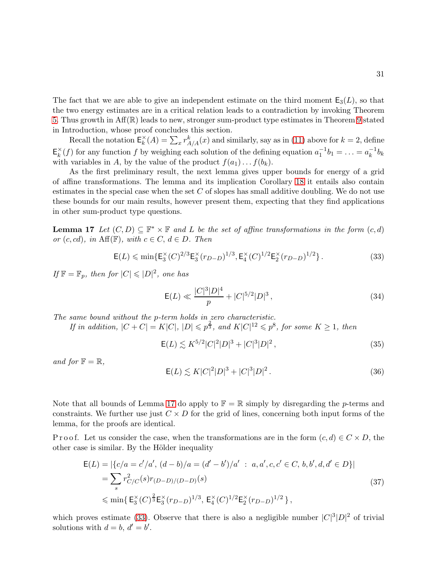The fact that we are able to give an independent estimate on the third moment  $E_3(L)$ , so that the two energy estimates are in a critical relation leads to a contradiction by invoking Theorem [5.](#page-4-1) Thus growth in Aff(R) leads to new, stronger sum-product type estimates in Theorem [9](#page-7-0) stated in Introduction, whose proof concludes this section.

Recall the notation  $\mathsf{E}_k^{\times}$  $k<sup>k</sup>(A) = \sum_{x} r^{k}_{A/A}(x)$  and similarly, say as in [\(11\)](#page-16-1) above for  $k = 2$ , define  $E_k^{\times}$  $\chi_k^{\times}(f)$  for any function f by weighing each solution of the defining equation  $a_1^{-1}b_1 = \ldots = a_k^{-1}$  $k^{-1}b_k$ with variables in A, by the value of the product  $f(a_1) \ldots f(b_k)$ .

As the first preliminary result, the next lemma gives upper bounds for energy of a grid of affine transformations. The lemma and its implication Corollary [18](#page-32-0) it entails also contain estimates in the special case when the set  $C$  of slopes has small additive doubling. We do not use these bounds for our main results, however present them, expecting that they find applications in other sum-product type questions.

**Lemma 17** Let  $(C, D) \subseteq \mathbb{F}^* \times \mathbb{F}$  and L be the set of affine transformations in the form  $(c, d)$ or  $(c, cd)$ , in Aff(F), with  $c \in C$ ,  $d \in D$ . Then

<span id="page-30-1"></span>
$$
\mathsf{E}(L) \le \min\{\mathsf{E}_3^{\times}(C)^{2/3}\mathsf{E}_3^{\times}(r_{D-D})^{1/3}, \mathsf{E}_4^{\times}(C)^{1/2}\mathsf{E}_2^{\times}(r_{D-D})^{1/2}\}.
$$
\n(33)

If  $\mathbb{F} = \mathbb{F}_p$ , then for  $|C| \leqslant |D|^2$ , one has

$$
E(L) \ll \frac{|C|^3|D|^4}{p} + |C|^{5/2}|D|^3,
$$
\n(34)

The same bound without the p-term holds in zero characteristic.

If in addition,  $|C + C| = K|C|$ ,  $|D| \leqslant p^{\frac{2}{3}}$ , and  $K|C|^{12} \leqslant p^8$ , for some  $K \geq 1$ , then

<span id="page-30-3"></span>
$$
E(L) \lesssim K^{5/2} |C|^2 |D|^3 + |C|^3 |D|^2 \,, \tag{35}
$$

and for  $\mathbb{F} = \mathbb{R}$ ,

<span id="page-30-0"></span>
$$
E(L) \lesssim K|C|^2|D|^3 + |C|^3|D|^2.
$$
 (36)

Note that all bounds of Lemma [17](#page-30-0) do apply to  $\mathbb{F} = \mathbb{R}$  simply by disregarding the p-terms and constraints. We further use just  $C \times D$  for the grid of lines, concerning both input forms of the lemma, for the proofs are identical.

P r o o f. Let us consider the case, when the transformations are in the form  $(c, d) \in C \times D$ , the other case is similar. By the Hölder inequality

<span id="page-30-2"></span>
$$
\mathsf{E}(L) = |\{c/a = c'/a', (d-b)/a = (d'-b')/a' : a, a', c, c' \in C, b, b', d, d' \in D\}|
$$
  
=  $\sum_{s} r_{C/C}^2 (s)r_{(D-D)/(D-D)}(s)$   
 $\leqslant \min\{\mathsf{E}_3^{\times}(C)^{\frac{2}{3}}\mathsf{E}_3^{\times}(r_{D-D})^{1/3}, \mathsf{E}_4^{\times}(C)^{1/2}\mathsf{E}_2^{\times}(r_{D-D})^{1/2}\},$  (37)

which proves estimate [\(33\)](#page-30-1). Observe that there is also a negligible number  $|C|^3|D|^2$  of trivial solutions with  $d = b, d' = b'$ .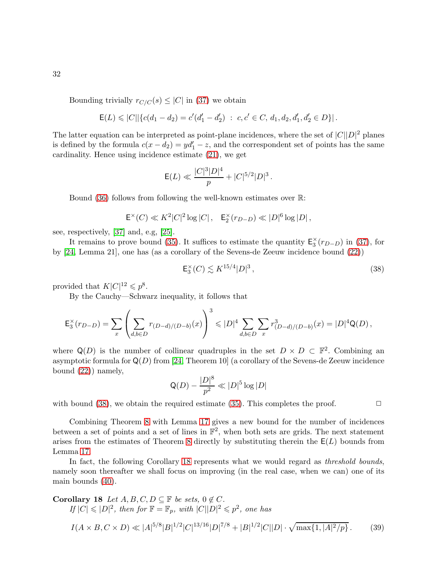Bounding trivially  $r_{C/C}(s) \leq |C|$  in [\(37\)](#page-30-2) we obtain

$$
\mathsf{E}(L) \leqslant |C| \left\{ c(d_1 - d_2) = c'(d'_1 - d'_2) \; : \; c, c' \in C, \, d_1, d_2, d'_1, d'_2 \in D \right\} \right|.
$$

The latter equation can be interpreted as point-plane incidences, where the set of  $|C||D|^2$  planes is defined by the formula  $c(x - d_2) = y d_1' - z$ , and the correspondent set of points has the same cardinality. Hence using incidence estimate [\(21\)](#page-21-0), we get

$$
E(L) \ll \frac{|C|^3|D|^4}{p} + |C|^{5/2}|D|^3.
$$

Bound [\(36\)](#page-30-0) follows from following the well-known estimates over R:

$$
\mathsf{E}^\times(C) \ll K^2|C|^2\log|C| \,, \quad \mathsf{E}_2^\times(r_{D-D}) \ll |D|^6\log|D| \,,
$$

see, respectively, [\[37\]](#page-41-2) and, e.g, [\[25\]](#page-41-7).

It remains to prove bound [\(35\)](#page-30-3). It suffices to estimate the quantity  $\mathsf{E}_{3}^{\times}(r_{D-D})$  in [\(37\)](#page-30-2), for by [\[24,](#page-41-13) Lemma 21], one has (as a corollary of the Sevens-de Zeeuw incidence bound [\(22\)](#page-22-0))

<span id="page-31-0"></span>
$$
\mathsf{E}_{3}^{\times}(C) \lesssim K^{15/4} |D|^{3},\tag{38}
$$

provided that  $K|C|^{12} \leqslant p^8$ .

By the Cauchy—Schwarz inequality, it follows that

$$
\mathsf{E}_{3}^{\times}(r_{D-D})=\sum_{x}\left(\sum_{d,b\in D}r_{(D-d)/(D-b)}(x)\right)^{3}\leqslant |D|^{4}\sum_{d,b\in D}\sum_{x}r_{(D-d)/(D-b)}^{3}(x)=|D|^{4}\mathsf{Q}(D),
$$

where  $\mathsf{Q}(D)$  is the number of collinear quadruples in the set  $D \times D \subset \mathbb{F}^2$ . Combining an asymptotic formula for  $Q(D)$  from [\[24,](#page-41-13) Theorem 10] (a corollary of the Sevens-de Zeeuw incidence bound [\(22\)](#page-22-0)) namely,

$$
\mathsf{Q}(D) - \frac{|D|^8}{p^2} \ll |D|^5 \log |D|
$$

with bound  $(38)$ , we obtain the required estimate  $(35)$ . This completes the proof.  $\Box$ 

Combining Theorem [8](#page-6-0) with Lemma [17](#page-30-0) gives a new bound for the number of incidences between a set of points and a set of lines in  $\mathbb{F}^2$ , when both sets are grids. The next statement arises from the estimates of Theorem [8](#page-6-0) directly by substituting therein the  $E(L)$  bounds from Lemma [17.](#page-30-0)

In fact, the following Corollary [18](#page-32-0) represents what we would regard as *threshold bounds*, namely soon thereafter we shall focus on improving (in the real case, when we can) one of its main bounds [\(40\)](#page-32-1).

<span id="page-31-1"></span>Corollary 18 Let A, B, C, D \subseteq \mathbb{F} be sets, 
$$
0 \notin C
$$
.  
\nIf  $|C| \le |D|^2$ , then for  $\mathbb{F} = \mathbb{F}_p$ , with  $|C||D|^2 \le p^2$ , one has  
\n $I(A \times B, C \times D) \ll |A|^{5/8} |B|^{1/2} |C|^{13/16} |D|^{7/8} + |B|^{1/2} |C||D| \cdot \sqrt{\max\{1, |A|^2/p\}}$ . (39)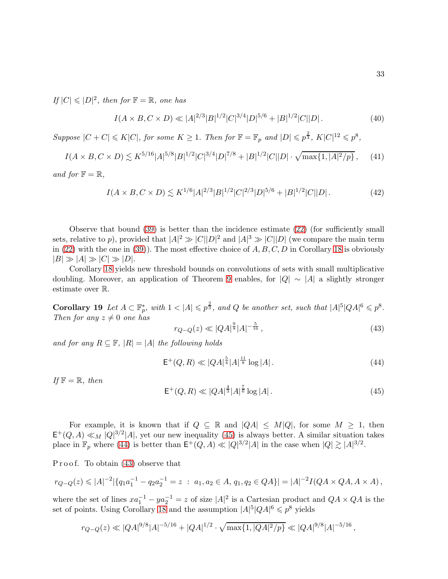If  $|C| \leqslant |D|^2$ , then for  $\mathbb{F} = \mathbb{R}$ , one has

<span id="page-32-1"></span>
$$
I(A \times B, C \times D) \ll |A|^{2/3} |B|^{1/2} |C|^{3/4} |D|^{5/6} + |B|^{1/2} |C| |D|.
$$
 (40)

Suppose  $|C+C| \leqslant K|C|$ , for some  $K \geq 1$ . Then for  $\mathbb{F} = \mathbb{F}_p$  and  $|D| \leqslant p^{\frac{2}{3}}$ ,  $K|C|^{12} \leqslant p^8$ ,

$$
I(A \times B, C \times D) \lesssim K^{5/16} |A|^{5/8} |B|^{1/2} |C|^{3/4} |D|^{7/8} + |B|^{1/2} |C||D| \cdot \sqrt{\max\{1, |A|^2/p\}},\tag{41}
$$

and for  $\mathbb{F} = \mathbb{R}$ ,

<span id="page-32-0"></span>
$$
I(A \times B, C \times D) \lesssim K^{1/6} |A|^{2/3} |B|^{1/2} |C|^{2/3} |D|^{5/6} + |B|^{1/2} |C| |D| \,. \tag{42}
$$

Observe that bound [\(39\)](#page-31-1) is better than the incidence estimate [\(22\)](#page-22-0) (for sufficiently small sets, relative to p), provided that  $|A|^2 \gg |C||D|^2$  and  $|A|^3 \gg |C||D|$  (we compare the main term in [\(22\)](#page-22-0) with the one in [\(39\)](#page-31-1)). The most effective choice of  $A, B, C, D$  in Corollary [18](#page-32-0) is obviously  $|B| \gg |A| \gg |C| \gg |D|$ .

Corollary [18](#page-32-0) yields new threshold bounds on convolutions of sets with small multiplicative doubling. Moreover, an application of Theorem [9](#page-7-0) enables, for  $|Q| \sim |A|$  a slightly stronger estimate over R.

Corollary 19 Let  $A \subset \mathbb{F}_p^*$ , with  $1 < |A| \leqslant p^{\frac{2}{3}}$ , and Q be another set, such that  $|A|^5 |QA|^6 \leqslant p^8$ . Then for any  $z \neq 0$  one has

<span id="page-32-4"></span>
$$
r_{Q-Q}(z) \ll |QA|^{\frac{9}{8}} |A|^{-\frac{5}{16}},\tag{43}
$$

and for any  $R \subseteq \mathbb{F}$ ,  $|R| = |A|$  the following holds

<span id="page-32-3"></span>
$$
\mathsf{E}^+(Q,R) \ll |QA|^{\frac{5}{4}}|A|^{\frac{11}{8}}\log|A|.
$$
 (44)

If  $\mathbb{F} = \mathbb{R}$ , then

<span id="page-32-2"></span>
$$
\mathsf{E}^+(Q,R) \ll |QA|^{\frac{4}{3}} |A|^{\frac{7}{6}} \log |A| \,. \tag{45}
$$

For example, it is known that if  $Q \subseteq \mathbb{R}$  and  $|QA| \leq M|Q|$ , for some  $M \geq 1$ , then  $\mathsf{E}^+(Q,A) \ll_M |Q|^{3/2} |A|$ , yet our new inequality [\(45\)](#page-32-2) is always better. A similar situation takes place in  $\mathbb{F}_p$  where [\(44\)](#page-32-3) is better than  $\mathsf{E}^+(Q,A) \ll |Q|^{3/2} |A|$  in the case when  $|Q| \gtrsim |A|^{3/2}$ .

Proof. To obtain  $(43)$  observe that

$$
r_{Q-Q}(z) \leq |A|^{-2} |\{q_1 a_1^{-1} - q_2 a_2^{-1} = z \; : \; a_1, a_2 \in A, q_1, q_2 \in QA\}| = |A|^{-2} I(QA \times QA, A \times A),
$$

where the set of lines  $xa_1^{-1} - ya_2^{-1} = z$  of size  $|A|^2$  is a Cartesian product and  $QA \times QA$  is the set of points. Using Corollary [18](#page-32-0) and the assumption  $|A|^5 |QA|^6 \leqslant p^8$  yields

$$
r_{Q-Q}(z) \ll |QA|^{9/8}|A|^{-5/16} + |QA|^{1/2} \cdot \sqrt{\max\{1, |QA|^2/p\}} \ll |QA|^{9/8}|A|^{-5/16},
$$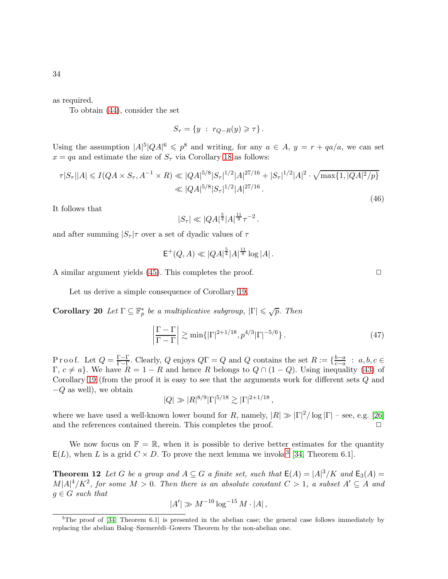as required.

To obtain [\(44\)](#page-32-3), consider the set

$$
S_{\tau} = \{ y : r_{Q-R}(y) \geq \tau \}.
$$

Using the assumption  $|A|^5 |QA|^6 \leqslant p^8$  and writing, for any  $a \in A$ ,  $y = r + qa/a$ , we can set  $x = qa$  and estimate the size of  $S_{\tau}$  via Corollary [18](#page-32-0) as follows:

$$
\tau|S_{\tau}||A| \leq I(QA \times S_{\tau}, A^{-1} \times R) \ll |QA|^{5/8}|S_{\tau}|^{1/2}|A|^{27/16} + |S_{\tau}|^{1/2}|A|^{2} \cdot \sqrt{\max\{1, |QA|^{2}/p\}} \ll |QA|^{5/8}|S_{\tau}|^{1/2}|A|^{27/16}.
$$
\n(46)

It follows that

$$
|S_\tau| \ll |QA|^{\frac{5}{4}} |A|^{\frac{11}{8}} \tau^{-2} \,.
$$

and after summing  $|S_\tau|\tau$  over a set of dyadic values of  $\tau$ 

$$
\mathsf{E}^+(Q,A) \ll |QA|^{\frac{5}{4}} |A|^{\frac{11}{8}} \log |A|.
$$

A similar argument yields  $(45)$ . This completes the proof.  $\Box$ 

Let us derive a simple consequence of Corollary [19.](#page-32-2)

**Corollary 20** Let  $\Gamma \subseteq \mathbb{F}_p^*$  be a multiplicative subgroup,  $|\Gamma| \leq \sqrt{p}$ . Then

$$
\left|\frac{\Gamma-\Gamma}{\Gamma-\Gamma}\right| \gtrsim \min\{|\Gamma|^{2+1/18}, p^{4/3}|\Gamma|^{-5/6}\}.
$$
\n(47)

Proof. Let  $Q = \frac{\Gamma - \Gamma}{\Gamma - \Gamma}$  $\frac{\Gamma-\Gamma}{\Gamma-\Gamma}$ . Clearly, Q enjoys  $Q\Gamma = Q$  and Q contains the set  $R := \{ \frac{b-a}{c-a} \}$  $\frac{b-a}{c-a}$  :  $a, b, c \in$  $\Gamma, c \neq a$ . We have  $R = 1 - R$  and hence R belongs to  $Q \cap (1 - Q)$ . Using inequality [\(43\)](#page-32-4) of Corollary [19](#page-32-2) (from the proof it is easy to see that the arguments work for different sets Q and  $-Q$  as well), we obtain

$$
|Q| \gg |R|^{8/9} |\Gamma|^{5/18} \gtrsim |\Gamma|^{2+1/18},
$$

where we have used a well-known lower bound for R, namely,  $|R| \gg |\Gamma|^2/\log |\Gamma|$  – see, e.g. [\[26\]](#page-41-9) and the references contained therein. This completes the proof.  $\Box$ 

<span id="page-33-0"></span>We now focus on  $\mathbb{F} = \mathbb{R}$ , when it is possible to derive better estimates for the quantity  $E(L)$ , when L is a grid  $C \times D$ . To prove the next lemma we invoke<sup>[3](#page-33-1)</sup> [\[34,](#page-41-10) Theorem 6.1].

**Theorem 12** Let G be a group and  $A \subseteq G$  a finite set, such that  $E(A) = |A|^3/K$  and  $E_3(A) =$  $M|A|^4/K^2$ , for some  $M > 0$ . Then there is an absolute constant  $C > 1$ , a subset  $A' \subseteq A$  and  $g \in G$  such that

$$
|A'| \gg M^{-10} \log^{-15} M \cdot |A| \,,
$$

<span id="page-33-1"></span> $3$ The proof of [\[34,](#page-41-10) Theorem 6.1] is presented in the abelian case; the general case follows immediately by replacing the abelian Balog–Szemerédi–Gowers Theorem by the non-abelian one.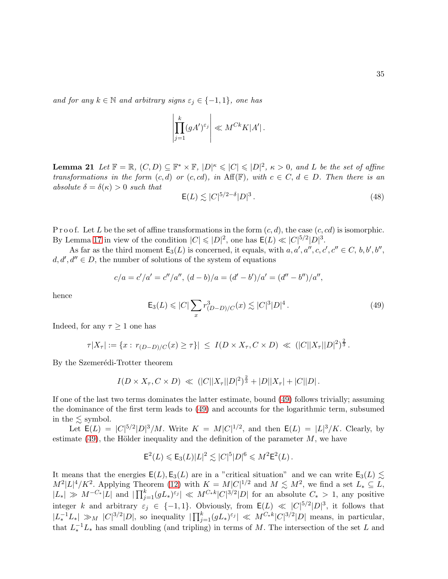and for any  $k \in \mathbb{N}$  and arbitrary signs  $\varepsilon_j \in \{-1,1\}$ , one has

$$
\left| \prod_{j=1}^k (gA')^{\varepsilon_j} \right| \ll M^{Ck} K |A'|.
$$

**Lemma 21** Let  $\mathbb{F} = \mathbb{R}$ ,  $(C, D) \subseteq \mathbb{F}^* \times \mathbb{F}$ ,  $|D|^{\kappa} \leqslant |C| \leqslant |D|^2$ ,  $\kappa > 0$ , and L be the set of affine transformations in the form  $(c, d)$  or  $(c, cd)$ , in Aff(F), with  $c \in C, d \in D$ . Then there is an absolute  $\delta = \delta(\kappa) > 0$  such that

<span id="page-34-0"></span>
$$
\mathsf{E}(L) \lesssim |C|^{5/2-\delta} |D|^3. \tag{48}
$$

P r o o f. Let L be the set of affine transformations in the form  $(c, d)$ , the case  $(c, cd)$  is isomorphic. By Lemma [17](#page-30-0) in view of the condition  $|C| \leqslant |D|^2$ , one has  $E(L) \ll |C|^{5/2} |D|^3$ .

As far as the third moment  $\mathsf{E}_3(L)$  is concerned, it equals, with  $a, a', a'', c, c', c'' \in C, b, b', b'',$  $d, d', d'' \in D$ , the number of solutions of the system of equations

$$
c/a = c'/a' = c''/a'', (d - b)/a = (d' - b')/a' = (d'' - b'')/a'',
$$

hence

<span id="page-34-1"></span>
$$
\mathsf{E}_3(L) \leq |C| \sum_x r_{(D-D)/C}^3(x) \lesssim |C|^3 |D|^4. \tag{49}
$$

Indeed, for any  $\tau \geq 1$  one has

$$
\tau |X_{\tau}| := \{ x : r_{(D-D)/C}(x) \geq \tau \} | \leq I(D \times X_{\tau}, C \times D) \ll (|C||X_{\tau}||D|^{2})^{\frac{2}{3}}.
$$

By the Szemerédi-Trotter theorem

$$
I(D \times X_{\tau}, C \times D) \ll (|C||X_{\tau}||D|^{2})^{\frac{2}{3}} + |D||X_{\tau}| + |C||D|.
$$

If one of the last two terms dominates the latter estimate, bound [\(49\)](#page-34-1) follows trivially; assuming the dominance of the first term leads to [\(49\)](#page-34-1) and accounts for the logarithmic term, subsumed in the  $\leq$  symbol.

Let  $E(L) = |C|^{5/2} |D|^3 / M$ . Write  $K = M |C|^{1/2}$ , and then  $E(L) = |L|^3 / K$ . Clearly, by estimate [\(49\)](#page-34-1), the Hölder inequality and the definition of the parameter  $M$ , we have

$$
\mathsf{E}^2(L) \leqslant \mathsf{E}_3(L)|L|^2 \lesssim |C|^5|D|^6 \leqslant M^2 \mathsf{E}^2(L).
$$

It means that the energies  $E(L), E_3(L)$  are in a "critical situation" and we can write  $E_3(L) \lesssim$  $M^2|L|^4/K^2$ . Applying Theorem [\(12\)](#page-33-0) with  $K = M|C|^{1/2}$  and  $M \lesssim M^2$ , we find a set  $L_* \subseteq L$ ,  $|L_*| \gg M^{-C_*}|L|$  and  $|\prod_{j=1}^k (gL_*)^{\varepsilon_j}| \ll M^{C_*k}|C|^{3/2}|D|$  for an absolute  $C_* > 1$ , any positive integer k and arbitrary  $\varepsilon_j \in \{-1,1\}$ . Obviously, from  $E(L) \ll |C|^{5/2} |D|^3$ , it follows that  $|L_*^{-1}L_*| \gg_M |C|^{3/2}|D|$ , so inequality  $|\prod_{j=1}^k (gL_*)^{\varepsilon_j}| \ll M^{C_*k}|C|^{3/2}|D|$  means, in particular, that  $L_*^{-1}L_*$  has small doubling (and tripling) in terms of M. The intersection of the set L and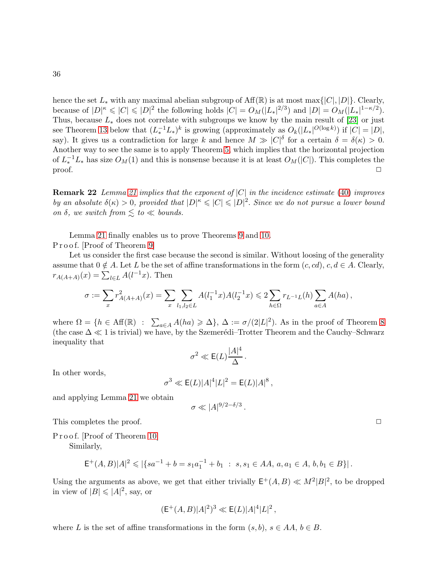hence the set  $L_*$  with any maximal abelian subgroup of  $\text{Aff}(\mathbb{R})$  is at most max $\{|C|, |D|\}$ . Clearly, because of  $|D|^{\kappa} \leqslant |C| \leqslant |D|^2$  the following holds  $|C| = O_M(|L_*|^{2/3})$  and  $|D| = O_M(|L_*|^{1-\kappa/2})$ . Thus, because  $L_*$  does not correlate with subgroups we know by the main result of [\[23\]](#page-41-3) or just see Theorem [13](#page-36-0) below that  $(L_*^{-1}L_*)^k$  is growing (approximately as  $O_k(|L_*|^{O(\log k)})$  if  $|C| = |D|$ , say). It gives us a contradiction for large k and hence  $M \gg |C|^{\delta}$  for a certain  $\delta = \delta(\kappa) > 0$ . Another way to see the same is to apply Theorem [5,](#page-4-1) which implies that the horizontal projection of  $L_*^{-1}L_*$  has size  $O_M(1)$  and this is nonsense because it is at least  $O_M(|C|)$ . This completes the  $\Box$ 

**Remark 22** Lemma [21](#page-34-0) implies that the exponent of  $|C|$  in the incidence estimate [\(40\)](#page-32-1) improves by an absolute  $\delta(\kappa) > 0$ , provided that  $|D|^{\kappa} \leqslant |C| \leqslant |D|^2$ . Since we do not pursue a lower bound on  $\delta$ , we switch from  $\lesssim$  to  $\ll$  bounds.

Lemma [21](#page-34-0) finally enables us to prove Theorems [9](#page-7-0) and [10.](#page-8-0) Proof. [Proof of Theorem [9\]](#page-7-0)

Let us consider the first case because the second is similar. Without loosing of the generality assume that  $0 \notin A$ . Let L be the set of affine transformations in the form  $(c, cd), c, d \in A$ . Clearly,  $r_{A(A+A)}(x) = \sum_{l \in L} A(l^{-1}x)$ . Then

$$
\sigma := \sum_{x} r_{A(A+A)}^2(x) = \sum_{x} \sum_{l_1, l_2 \in L} A(l_1^{-1}x) A(l_2^{-1}x) \leq 2 \sum_{h \in \Omega} r_{L^{-1}L}(h) \sum_{a \in A} A(ha),
$$

where  $\Omega = \{h \in \text{Aff}(\mathbb{R}) \ : \ \sum_{a \in A} A(ha) \geq \Delta\}, \ \Delta := \sigma/(2|L|^2)$ . As in the proof of Theorem [8](#page-6-0) (the case  $\Delta \ll 1$  is trivial) we have, by the Szemerédi–Trotter Theorem and the Cauchy–Schwarz inequality that

$$
\sigma^2 \ll \mathsf{E}(L) \frac{|A|^4}{\Delta} \, .
$$

In other words,

$$
\sigma^3 \ll \mathsf{E}(L)|A|^4 |L|^2 = \mathsf{E}(L)|A|^8 \,,
$$

and applying Lemma [21](#page-34-0) we obtain

$$
\sigma \ll |A|^{9/2-\delta/3}
$$

.

This completes the proof.  $\Box$ 

Proof. [Proof of Theorem [10\]](#page-8-0) Similarly,

$$
\mathsf{E}^+(A,B)|A|^2\leqslant |\{sa^{-1}+b=s_1a_1^{-1}+b_1\;:\;s,s_1\in AA,\,a,a_1\in A,\,b,b_1\in B\}| \,.
$$

Using the arguments as above, we get that either trivially  $E^+(A, B) \ll M^2 |B|^2$ , to be dropped in view of  $|B| \leqslant |A|^2$ , say, or

$$
(\mathsf{E}^+(A,B)|A|^2)^3 \ll \mathsf{E}(L)|A|^4|L|^2\,,
$$

where L is the set of affine transformations in the form  $(s, b)$ ,  $s \in AA$ ,  $b \in B$ .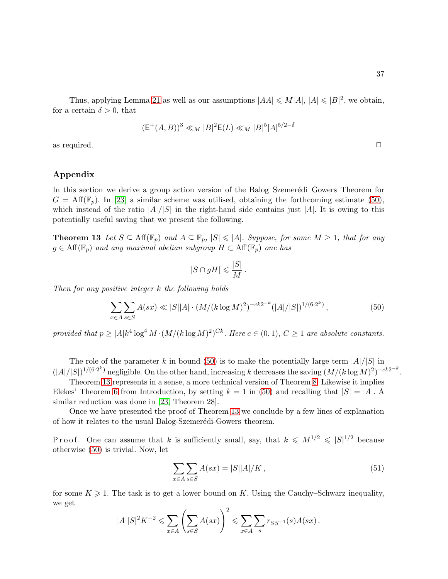Thus, applying Lemma [21](#page-34-0) as well as our assumptions  $|AA| \le M|A|$ ,  $|A| \le |B|^2$ , we obtain, for a certain  $\delta > 0$ , that

$$
(\mathsf{E}^+(A,B))^3 \ll_M |B|^2 \mathsf{E}(L) \ll_M |B|^5 |A|^{5/2-\delta}
$$

as required.  $\Box$ 

# Appendix

In this section we derive a group action version of the Balog–Szemerédi–Gowers Theorem for  $G = \text{Aff}(\mathbb{F}_p)$ . In [\[23\]](#page-41-3) a similar scheme was utilised, obtaining the forthcoming estimate [\(50\)](#page-36-0), which instead of the ratio  $|A|/|S|$  in the right-hand side contains just |A|. It is owing to this potentially useful saving that we present the following.

**Theorem 13** Let  $S \subseteq \text{Aff}(\mathbb{F}_p)$  and  $A \subseteq \mathbb{F}_p$ ,  $|S| \leq |A|$ . Suppose, for some  $M \geq 1$ , that for any  $g \in \text{Aff}(\mathbb{F}_p)$  and any maximal abelian subgroup  $H \subset \text{Aff}(\mathbb{F}_p)$  one has

$$
|S \cap gH| \leqslant \frac{|S|}{M}.
$$

Then for any positive integer k the following holds

<span id="page-36-0"></span>
$$
\sum_{x \in A} \sum_{s \in S} A(sx) \ll |S||A| \cdot (M/(k \log M)^2)^{-ck2^{-k}} (|A|/|S|)^{1/(6 \cdot 2^k)},\tag{50}
$$

provided that  $p \geq |A| k^4 \log^4 M \cdot (M/(k \log M)^2)^{Ck}$ . Here  $c \in (0,1)$ ,  $C \geq 1$  are absolute constants.

The role of the parameter k in bound [\(50\)](#page-36-0) is to make the potentially large term  $|A|/|S|$  in  $(|A|/|S|)^{1/(6\cdot 2^k)}$  negligible. On the other hand, increasing k decreases the saving  $(M/(k \log M)^2)^{-ck2^{-k}}$ .

Theorem [13](#page-36-0) represents in a sense, a more technical version of Theorem [8.](#page-6-0) Likewise it implies Elekes' Theorem [6](#page-5-0) from Introduction, by setting  $k = 1$  in [\(50\)](#page-36-0) and recalling that  $|S| = |A|$ . A similar reduction was done in [\[23,](#page-41-3) Theorem 28].

Once we have presented the proof of Theorem [13](#page-36-0) we conclude by a few lines of explanation of how it relates to the usual Balog-Szemerédi-Gowers theorem.

P r o o f. One can assume that k is sufficiently small, say, that  $k \leq M^{1/2} \leq |S|^{1/2}$  because otherwise [\(50\)](#page-36-0) is trivial. Now, let

<span id="page-36-1"></span>
$$
\sum_{x \in A} \sum_{s \in S} A(sx) = |S||A|/K, \qquad (51)
$$

for some  $K \geqslant 1$ . The task is to get a lower bound on K. Using the Cauchy–Schwarz inequality, we get

$$
|A||S|^2K^{-2}\leqslant \sum_{x\in A}\left(\sum_{s\in S}A(sx)\right)^2\leqslant \sum_{x\in A}\sum_{s}r_{SS^{-1}}(s)A(sx)\,.
$$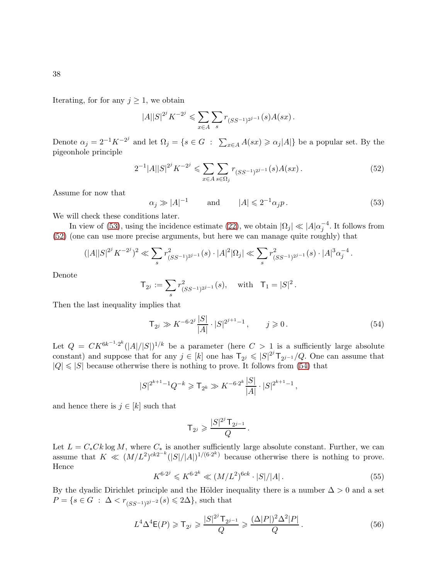Iterating, for for any  $j \geq 1$ , we obtain

$$
|A||S|^{2^{j}} K^{-2^{j}} \leq \sum_{x \in A} \sum_{s} r_{(SS^{-1})^{2^{j-1}}} (s) A(sx).
$$

Denote  $\alpha_j = 2^{-1} K^{-2^j}$  and let  $\Omega_j = \{ s \in G : \sum_{x \in A} A(sx) \geq \alpha_j |A| \}$  be a popular set. By the pigeonhole principle

<span id="page-37-1"></span>
$$
2^{-1}|A||S|^{2^j}K^{-2^j} \leq \sum_{x \in A} \sum_{s \in \Omega_j} r_{(SS^{-1})^{2^{j-1}}}(s)A(sx). \tag{52}
$$

Assume for now that

<span id="page-37-0"></span> $\alpha_j \gg |A|^{-1}$  and  $|A| \leq 2^{-1} \alpha_j p$ . (53)

We will check these conditions later.

In view of [\(53\)](#page-37-0), using the incidence estimate [\(22\)](#page-22-0), we obtain  $|\Omega_j| \ll |A|\alpha_j^{-4}$ . It follows from [\(52\)](#page-37-1) (one can use more precise arguments, but here we can manage quite roughly) that

$$
(|A||S|^{2^j}K^{-2^j})^2 \ll \sum_s r^2_{(SS^{-1})^{2^{j-1}}}(s) \cdot |A|^2|\Omega_j| \ll \sum_s r^2_{(SS^{-1})^{2^{j-1}}}(s) \cdot |A|^3 \alpha_j^{-4}.
$$

Denote

$$
\mathsf{T}_{2^j} := \sum_s r^2_{(SS^{-1})^{2^{j-1}}}(s), \quad \text{with} \quad \mathsf{T}_1 = |S|^2.
$$

Then the last inequality implies that

<span id="page-37-2"></span>
$$
\mathsf{T}_{2^j} \gg K^{-6 \cdot 2^j} \frac{|S|}{|A|} \cdot |S|^{2^{j+1}-1}, \qquad j \geqslant 0. \tag{54}
$$

Let  $Q = CK^{6k^{-1} \cdot 2^k} (|A|/|S|)^{1/k}$  be a parameter (here  $C > 1$  is a sufficiently large absolute constant) and suppose that for any  $j \in [k]$  one has  $\mathsf{T}_{2^j} \leqslant |S|^{2^j} \mathsf{T}_{2^{j-1}}/Q$ . One can assume that  $|Q| \leq |S|$  because otherwise there is nothing to prove. It follows from [\(54\)](#page-37-2) that

$$
|S|^{2^{k+1}-1}Q^{-k} \geq \mathsf{T}_{2^k} \gg K^{-6\cdot 2^k} \frac{|S|}{|A|} \cdot |S|^{2^{k+1}-1},
$$

and hence there is  $j \in [k]$  such that

$$
\mathsf{T}_{2^j} \geqslant \frac{|S|^{2^j} \mathsf{T}_{2^{j-1}}}{Q} \, .
$$

Let  $L = C_* C k \log M$ , where  $C_*$  is another sufficiently large absolute constant. Further, we can assume that  $K \ll (M/L^2)^{ck2^{-k}}(|S|/|A|)^{1/(6\cdot 2^k)}$  because otherwise there is nothing to prove. Hence

<span id="page-37-4"></span>
$$
K^{6\cdot 2^j} \leqslant K^{6\cdot 2^k} \ll (M/L^2)^{6ck} \cdot |S|/|A| \,. \tag{55}
$$

By the dyadic Dirichlet principle and the Hölder inequality there is a number  $\Delta > 0$  and a set  $P = \{ s \in G : \Delta < r_{(SS^{-1})^{2^{j-2}}}(s) \leq 2\Delta \},\$  such that

<span id="page-37-3"></span>
$$
L^{4}\Delta^{4}\mathsf{E}(P) \geqslant \mathsf{T}_{2^{j}} \geqslant \frac{|S|^{2^{j}}\mathsf{T}_{2^{j-1}}}{Q} \geqslant \frac{(\Delta|P|)^{2}\Delta^{2}|P|}{Q}.
$$
\n
$$
(56)
$$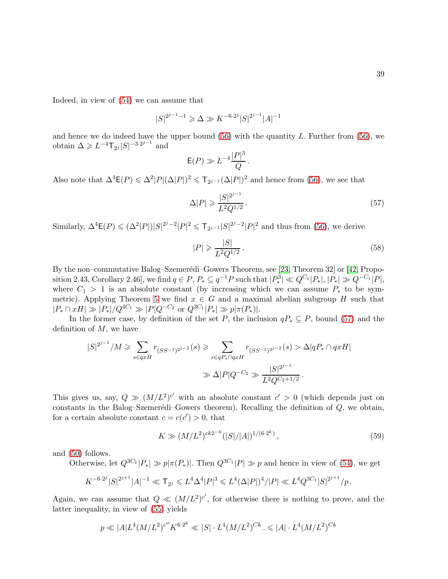Indeed, in view of [\(54\)](#page-37-2) we can assume that

$$
|S|^{2^{j-1}-1} \ge \Delta \gg K^{-6 \cdot 2^{j}} |S|^{2^{j-1}} |A|^{-1}
$$

and hence we do indeed have the upper bound  $(56)$  with the quantity L. Further from  $(56)$ , we obtain  $\Delta \geqslant L^{-4} \mathsf{T}_{2^j} |S|^{-3 \cdot 2^{j-1}}$  and

$$
\mathsf{E}(P) \gg L^{-4} \frac{|P|^3}{Q}.
$$

Also note that  $\Delta^4 \mathsf{E}(P) \leq \Delta^2 |P| (\Delta |P|)^2 \leq \mathsf{T}_{2^{j-1}} (\Delta |P|)^2$  and hence from [\(56\)](#page-37-3), we see that

<span id="page-38-0"></span>
$$
\Delta|P| \geqslant \frac{|S|^{2^{j-1}}}{L^2 Q^{1/2}}.
$$
\n(57)

Similarly,  $\Delta^4 \mathsf{E}(P) \leqslant (\Delta^2 |P|) |S|^{2^j-2} |P|^2 \leqslant \mathsf{T}_{2^{j-1}} |S|^{2^j-2} |P|^2$  and thus from [\(56\)](#page-37-3), we derive

$$
|P| \geqslant \frac{|S|}{L^2 Q^{1/2}}.\tag{58}
$$

By the non–commutative Balog–Szemerédi–Gowers Theorem, see [\[23,](#page-41-3) Theorem 32] or [\[42,](#page-42-6) Proposition 2.43, Corollary 2.46], we find  $q \in P$ ,  $P_* \subseteq q^{-1}P$  such that  $|P_*^3| \ll Q^{C_1} |P_*|, |P_*| \gg Q^{-C_1} |P|$ , where  $C_1 > 1$  is an absolute constant (by increasing which we can assume  $P_*$  to be sym-metric). Applying Theorem [5](#page-4-1) we find  $x \in G$  and a maximal abelian subgroup H such that  $|P_* \cap xH| \gg |P_*|/Q^{4C_1} \gg |P|Q^{-C_2}$  or  $Q^{3C_1}|P_*| \gg p|\pi(P_*)|$ .

In the former case, by definition of the set P, the inclusion  $qP_* \subseteq P$ , bound [\(57\)](#page-38-0) and the definition of  $M$ , we have

$$
|S|^{2^{j-1}}/M \ge \sum_{s \in qxH} r_{(SS^{-1})^{2^{j-2}}}(s) \ge \sum_{s \in qP_* \cap qxH} r_{(SS^{-1})^{2^{j-2}}}(s) > \Delta |qP_* \cap qxH|
$$
  

$$
\gg \Delta |P|Q^{-C_2} \gg \frac{|S|^{2^{j-1}}}{L^2 Q^{C_2+1/2}}.
$$

This gives us, say,  $Q \gg (M/L^2)^{c'}$  with an absolute constant  $c' > 0$  (which depends just on constants in the Balog–Szemerédi–Gowers theorem). Recalling the definition of  $Q$ , we obtain, for a certain absolute constant  $c = c(c') > 0$ , that

<span id="page-38-1"></span>
$$
K \gg (M/L^2)^{ck2^{-k}} (|S|/|A|)^{1/(6\cdot 2^k)},
$$
\n(59)

and [\(50\)](#page-36-0) follows.

Otherwise, let  $Q^{3C_1} |P_*| \gg p |\pi(P_*)|$ . Then  $Q^{3C_1} |P| \gg p$  and hence in view of [\(54\)](#page-37-2), we get

$$
K^{-6\cdot 2^{j}}|S|^{2^{j+1}}|A|^{-1}\ll \mathsf{T}_{2^{j}}\leqslant L^{4}\Delta^{4}|P|^{3}\leqslant L^{4}(\Delta|P|)^{4}/|P|\ll L^{4}Q^{3C_{1}}|S|^{2^{j+1}}/p\,.
$$

Again, we can assume that  $Q \ll (M/L^2)^{c'}$ , for otherwise there is nothing to prove, and the latter inequality, in view of [\(55\)](#page-37-4) yields

$$
p \ll |A| L^4 (M/L^2)^{c''} K^{6 \cdot 2^k} \ll |S| \cdot L^4 (M/L^2)^{Ck} \, \leqslant |A| \cdot L^4 (M/L^2)^{Ck}
$$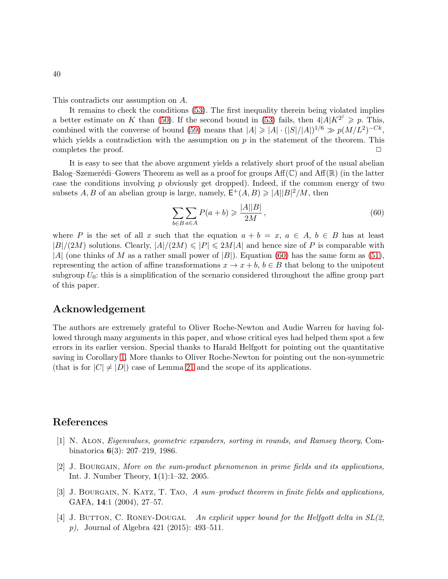This contradicts our assumption on A.

It remains to check the conditions [\(53\)](#page-37-0). The first inequality therein being violated implies a better estimate on K than [\(50\)](#page-36-0). If the second bound in [\(53\)](#page-37-0) fails, then  $4|A|K^{2^j} \geq p$ . This, combined with the converse of bound [\(59\)](#page-38-1) means that  $|A| \geq |A| \cdot (|S|/|A|)^{1/6} \gg p(M/L^2)^{-Ck}$ , which yields a contradiction with the assumption on  $p$  in the statement of the theorem. This completes the proof.  $\Box$ 

It is easy to see that the above argument yields a relatively short proof of the usual abelian Balog–Szemerédi–Gowers Theorem as well as a proof for groups  $\text{Aff}(\mathbb{C})$  and  $\text{Aff}(\mathbb{R})$  (in the latter case the conditions involving  $p$  obviously get dropped). Indeed, if the common energy of two subsets  $A, B$  of an abelian group is large, namely,  $\mathsf{E}^+(A, B) \geq |A||B|^2/M$ , then

<span id="page-39-4"></span>
$$
\sum_{b \in B} \sum_{a \in A} P(a+b) \ge \frac{|A||B|}{2M},\tag{60}
$$

where P is the set of all x such that the equation  $a + b = x, a \in A, b \in B$  has at least  $|B|/(2M)$  solutions. Clearly,  $|A|/(2M) \leq |P| \leq 2M|A|$  and hence size of P is comparable with |A| (one thinks of M as a rather small power of |B|). Equation [\(60\)](#page-39-4) has the same form as [\(51\)](#page-36-1), representing the action of affine transformations  $x \to x + b$ ,  $b \in B$  that belong to the unipotent subgroup  $U_0$ : this is a simplification of the scenario considered throughout the affine group part of this paper.

# Acknowledgement

The authors are extremely grateful to Oliver Roche-Newton and Audie Warren for having followed through many arguments in this paper, and whose critical eyes had helped them spot a few errors in its earlier version. Special thanks to Harald Helfgott for pointing out the quantitative saving in Corollary [1.](#page-3-2) More thanks to Oliver Roche-Newton for pointing out the non-symmetric (that is for  $|C| \neq |D|$ ) case of Lemma [21](#page-34-0) and the scope of its applications.

# <span id="page-39-3"></span>References

- [1] N. Alon, Eigenvalues, geometric expanders, sorting in rounds, and Ramsey theory, Combinatorica 6(3): 207–219, 1986.
- <span id="page-39-2"></span>[2] J. Bourgain, More on the sum-product phenomenon in prime fields and its applications, Int. J. Number Theory, 1(1):1–32, 2005.
- <span id="page-39-1"></span>[3] J. BOURGAIN, N. KATZ, T. TAO, A sum-product theorem in finite fields and applications, GAFA, 14:1 (2004), 27–57.
- <span id="page-39-0"></span>[4] J. BUTTON, C. RONEY-DOUGAL An explicit upper bound for the Helfgott delta in  $SL(2)$ , p), Journal of Algebra 421 (2015): 493–511.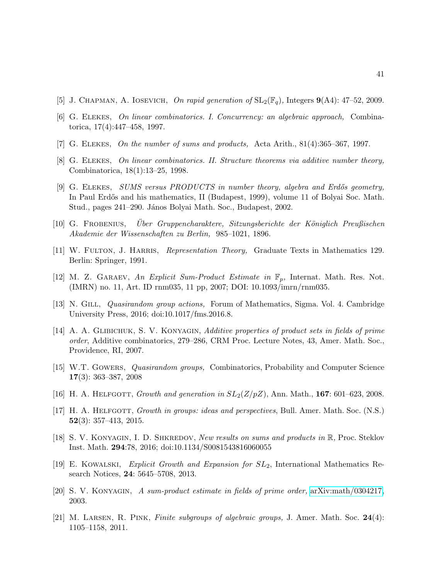- <span id="page-40-13"></span><span id="page-40-7"></span>[5] J. CHAPMAN, A. IOSEVICH, On rapid generation of  $SL_2(\mathbb{F}_q)$ , Integers  $\mathbf{9}(A4)$ : 47-52, 2009.
- <span id="page-40-5"></span>[6] G. Elekes, On linear combinatorics. I. Concurrency: an algebraic approach, Combinatorica, 17(4):447–458, 1997.
- <span id="page-40-8"></span>[7] G. Elekes, On the number of sums and products, Acta Arith., 81(4):365–367, 1997.
- <span id="page-40-9"></span>[8] G. Elekes, On linear combinatorics. II. Structure theorems via additive number theory, Combinatorica, 18(1):13–25, 1998.
- [9] G. ELEKES, SUMS versus PRODUCTS in number theory, algebra and Erdős geometry, In Paul Erdős and his mathematics, II (Budapest, 1999), volume 11 of Bolyai Soc. Math. Stud., pages 241–290. János Bolyai Math. Soc., Budapest, 2002.
- <span id="page-40-14"></span><span id="page-40-12"></span>[10] G. FROBENIUS, Über Gruppencharaktere, Sitzungsberichte der Königlich Preußischen Akademie der Wissenschaften zu Berlin, 985–1021, 1896.
- <span id="page-40-11"></span>[11] W. Fulton, J. Harris, Representation Theory, Graduate Texts in Mathematics 129. Berlin: Springer, 1991.
- <span id="page-40-15"></span>[12] M. Z. GARAEV, An Explicit Sum-Product Estimate in  $\mathbb{F}_p$ , Internat. Math. Res. Not. (IMRN) no. 11, Art. ID rnm035, 11 pp, 2007; DOI: 10.1093/imrn/rnm035.
- <span id="page-40-4"></span>[13] N. GILL, *Quasirandom group actions*, Forum of Mathematics, Sigma. Vol. 4. Cambridge University Press, 2016; doi:10.1017/fms.2016.8.
- [14] A. A. GLIBICHUK, S. V. KONYAGIN, Additive properties of product sets in fields of prime order, Additive combinatorics, 279–286, CRM Proc. Lecture Notes, 43, Amer. Math. Soc., Providence, RI, 2007.
- <span id="page-40-16"></span>[15] W.T. Gowers, Quasirandom groups, Combinatorics, Probability and Computer Science 17(3): 363–387, 2008
- <span id="page-40-1"></span><span id="page-40-0"></span>[16] H. A. HELFGOTT, Growth and generation in  $SL_2(Z/pZ)$ , Ann. Math., 167: 601–623, 2008.
- [17] H. A. HELFGOTT, *Growth in groups: ideas and perspectives*, Bull. Amer. Math. Soc. (N.S.) 52(3): 357–413, 2015.
- <span id="page-40-6"></span><span id="page-40-2"></span>[18] S. V. KONYAGIN, I. D. SHKREDOV, New results on sums and products in R, Proc. Steklov Inst. Math. 294:78, 2016; doi:10.1134/S0081543816060055
- <span id="page-40-3"></span>[19] E. Kowalski, Explicit Growth and Expansion for SL2, International Mathematics Research Notices, 24: 5645–5708, 2013.
- <span id="page-40-10"></span>[20] S. V. Konyagin, A sum-product estimate in fields of prime order, [arXiv:math/0304217,](http://arxiv.org/abs/math/0304217) 2003.
- [21] M. LARSEN, R. PINK, Finite subgroups of algebraic groups, J. Amer. Math. Soc. 24(4): 1105–1158, 2011.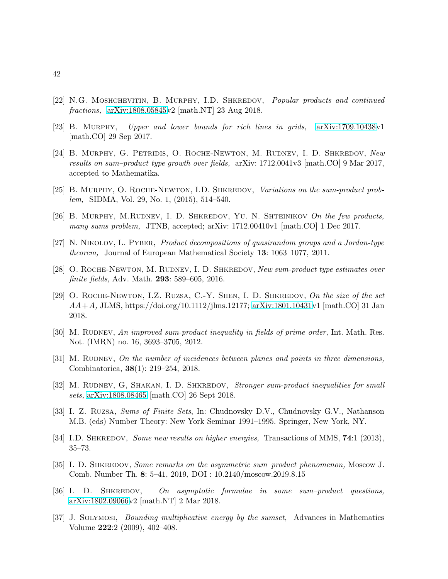- <span id="page-41-3"></span>[22] N.G. MOSHCHEVITIN, B. MURPHY, I.D. SHKREDOV, Popular products and continued fractions, [arXiv:1808.05845v](http://arxiv.org/abs/1808.05845)2 [math.NT] 23 Aug 2018.
- <span id="page-41-13"></span>[23] B. Murphy, Upper and lower bounds for rich lines in grids, [arXiv:1709.10438v](http://arxiv.org/abs/1709.10438)1 [math.CO] 29 Sep 2017.
- [24] B. Murphy, G. Petridis, O. Roche-Newton, M. Rudnev, I. D. Shkredov, New results on sum–product type growth over fields, arXiv: 1712.0041v3 [math.CO] 9 Mar 2017, accepted to Mathematika.
- <span id="page-41-9"></span><span id="page-41-7"></span>[25] B. MURPHY, O. ROCHE-NEWTON, I.D. SHKREDOV, Variations on the sum-product problem, SIDMA, Vol. 29, No. 1, (2015), 514–540.
- <span id="page-41-12"></span>[26] B. MURPHY, M.RUDNEV, I. D. SHKREDOV, YU. N. SHTEINIKOV On the few products, many sums problem, JTNB, accepted; arXiv: 1712.00410v1 [math.CO] 1 Dec 2017.
- <span id="page-41-5"></span>[27] N. Nikolov, L. Pyber, Product decompositions of quasirandom groups and a Jordan-type theorem, Journal of European Mathematical Society 13: 1063–1077, 2011.
- <span id="page-41-8"></span>[28] O. ROCHE-NEWTON, M. RUDNEV, I. D. SHKREDOV, New sum-product type estimates over finite fields, Adv. Math. 293: 589–605, 2016.
- [29] O. Roche-Newton, I.Z. Ruzsa, C.-Y. Shen, I. D. Shkredov, On the size of the set  $AA+A$ , JLMS, https://doi.org/10.1112/jlms.12177; [arXiv:1801.10431v](http://arxiv.org/abs/1801.10431)1 [math.CO] 31 Jan 2018.
- <span id="page-41-6"></span>[30] M. RUDNEV, An improved sum-product inequality in fields of prime order, Int. Math. Res. Not. (IMRN) no. 16, 3693–3705, 2012.
- <span id="page-41-0"></span>[31] M. RUDNEV, On the number of incidences between planes and points in three dimensions, Combinatorica, 38(1): 219–254, 2018.
- <span id="page-41-1"></span>[32] M. RUDNEV, G, SHAKAN, I. D. SHKREDOV, Stronger sum-product inequalities for small sets, [arXiv:1808.08465](http://arxiv.org/abs/1808.08465) [math.CO] 26 Sept 2018.
- <span id="page-41-11"></span>[33] I. Z. Ruzsa, Sums of Finite Sets, In: Chudnovsky D.V., Chudnovsky G.V., Nathanson M.B. (eds) Number Theory: New York Seminar 1991–1995. Springer, New York, NY.
- <span id="page-41-10"></span><span id="page-41-4"></span>[34] I.D. SHKREDOV, Some new results on higher energies, Transactions of MMS, 74:1 (2013), 35–73.
- [35] I. D. SHKREDOV, Some remarks on the asymmetric sum–product phenomenon, Moscow J. Comb. Number Th. 8: 5–41, 2019, DOI : 10.2140/moscow.2019.8.15
- [36] I. D. SHKREDOV, On asymptotic formulae in some sum–product questions, [arXiv:1802.09066v](http://arxiv.org/abs/1802.09066)2 [math.NT] 2 Mar 2018.
- <span id="page-41-2"></span>[37] J. Solymosi, Bounding multiplicative energy by the sumset, Advances in Mathematics Volume 222:2 (2009), 402–408.